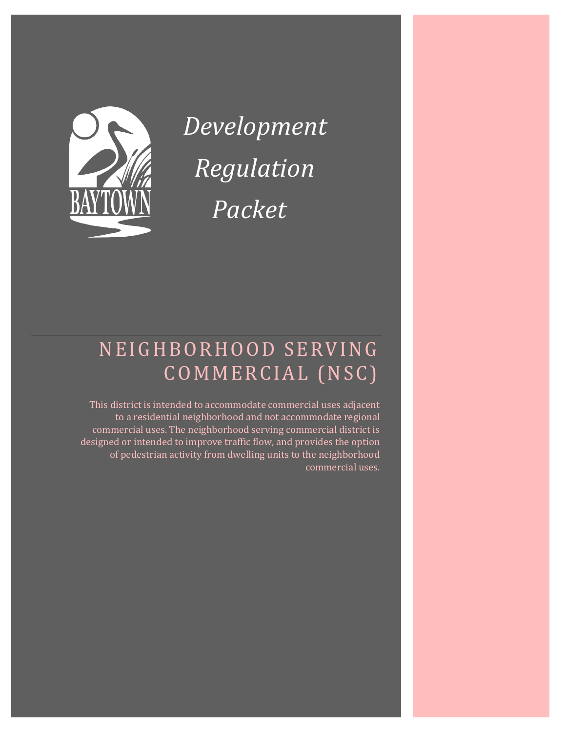#### THE INTENT OF THIS DOCUMENT IS TO ASSIST COMMERCIAL BUILDERS WITHIN THE CITY OF BAYTOWN IN IDENTIFYING APPLICABLE REGULATIONS FOR NEW CONSTRUCTION. PLEASE NOTE THAT THIS DOCUMENT IS NOT ALL-INCLUSIVE.

### **CONTENTS**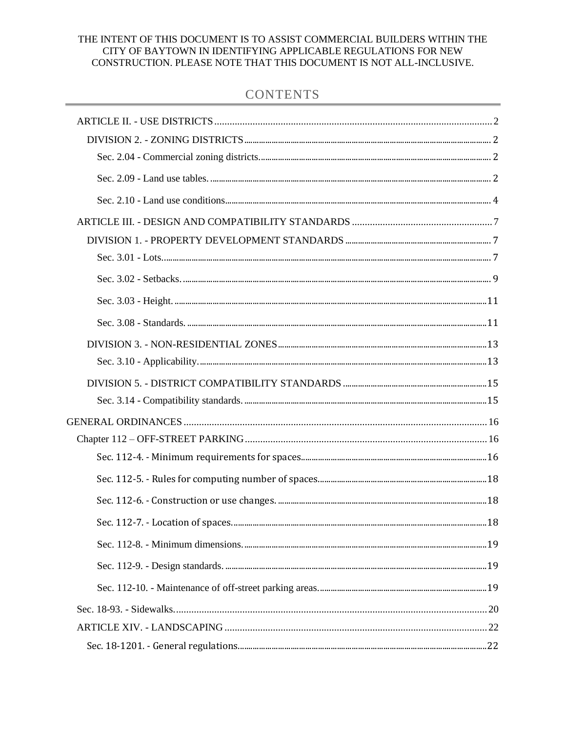### ARTICLE II. - USE DISTRICTS

### DIVISION 2. - ZONING DISTRICTS

#### SEC. 2.04 - COMMERCIAL ZONING DISTRICTS.

<span id="page-2-2"></span><span id="page-2-1"></span><span id="page-2-0"></span>These districts are intended to implement and correspond to the comprehensive plan's future land use map designations and descriptions. The following districts are established:

(b) *Neighborhood serving commercial ("NSC").* This district is intended to accommodate commercial uses adjacent to a residential neighborhood and not accommodate regional commercial uses. The neighborhood serving commercial district is designed or intended to improve traffic flow, and provides the option of pedestrian activity from dwelling units to the

#### SEC. 2.09 - LAND USE TABLES.

- <span id="page-2-3"></span>(a) *Uses.* This subsection sets forth the land uses allowed in each zoning district. In the following tables "P" means permitted use and "PC" means permitted use with conditions as set forth in the conditions tables in division 3 of this article. Where neither a "P" nor a "PC" exists in the table, the use is prohibited. To the extent that there is a conflict between the use tables and the conditions, the use table controls.
- (b) *Prohibited uses.* In all residential zoning districts, the use of containers for any purpose is expressly prohibited.

| <b>USES</b>                | <b>NSC</b>   | <b>COND REF</b> |
|----------------------------|--------------|-----------------|
| Agriculture                | PC           | A4              |
| Community services         | $\mathbf P$  |                 |
| Day care                   | $\mathbf{P}$ | A8              |
| Food service establishment | PC           | A9-10, A11, A12 |
| Gas station                | PC           | A15, A16        |
| Grocery stores             | PC           | A19             |
| Manufacturing (custom)     | PC           | A49             |
| Clinics                    | $\mathbf{P}$ |                 |

#### **Table 2-2. Non-residential uses.**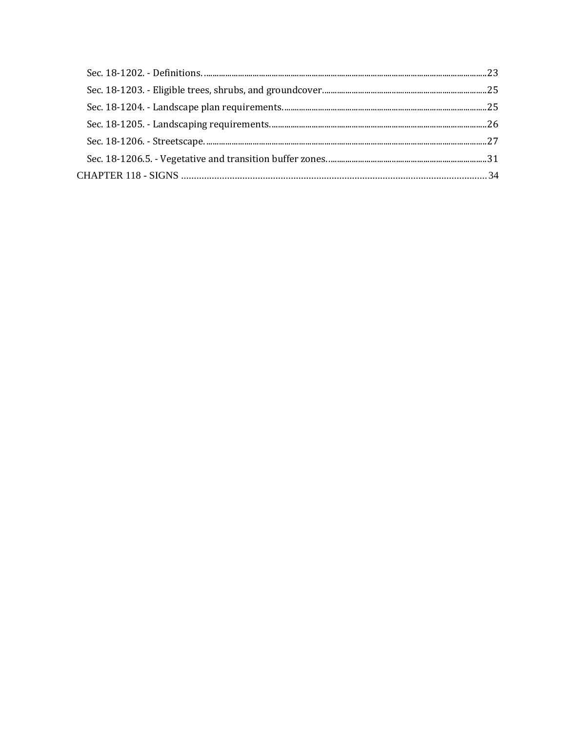| <b>USES</b>                                  | $ $ NSC      | <b>COND REF</b> |
|----------------------------------------------|--------------|-----------------|
| Nursing homes and assisted living facilities | PC           | A20, A22, A58   |
| Office                                       | PC           | A27, A28        |
| Outdoor sales and display                    | PC           | A50             |
| Personal service                             | $\mathbf{P}$ |                 |
| Pet stores                                   | PC           | A32             |
| Places of assembly                           | PC           | A30, A30A       |
| Repair business                              | PC           | A55             |
| Retail - General                             | PC           | A18             |

Accessory uses are uses incidental and subordinate to the principal use, located on the same lot as the principal use and in the same zoning district as the principal use.

### **Table 2-3. Non-residential accessory use table.**

| <b>ACCESSORY USE</b>             | $ $ NSC   | <b>COND REF</b> |
|----------------------------------|-----------|-----------------|
| Outdoor storage (Accessory)      | PC        | A42             |
| Residential accessory structures | PC        | B <sub>2</sub>  |
| Sandblasting                     | PC        | A56, A57        |
| Storage Building                 | <b>PC</b> | A51             |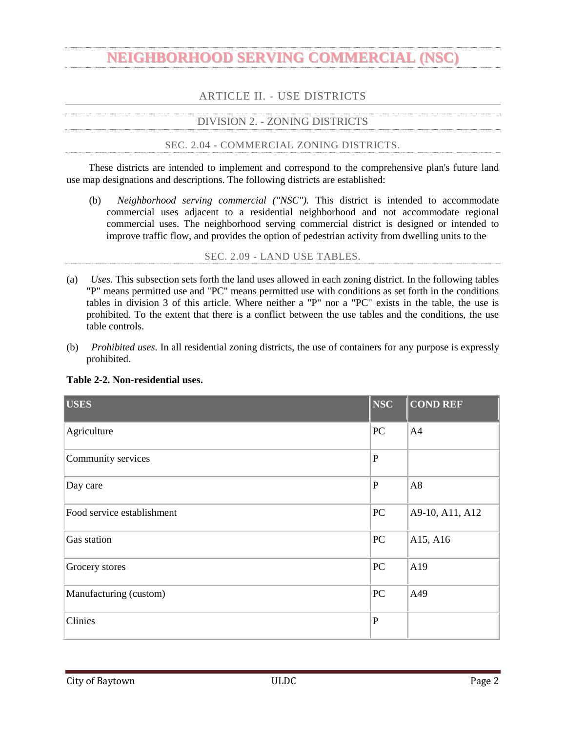### SEC. 2.10 - LAND USE CONDITIONS.

<span id="page-4-0"></span>This section sets forth the conditions associated with identified land uses in section 2.05. The conditions expressed in the use table are cumulative of applicable conditions contained elsewhere in the Code.

|                                   | <b>Land Use</b>                      | <b>Applicable</b><br><b>Zoning</b><br><b>District</b>                                                                                                              | <b>Conditions</b>                                                                                                                                                                |  |  |
|-----------------------------------|--------------------------------------|--------------------------------------------------------------------------------------------------------------------------------------------------------------------|----------------------------------------------------------------------------------------------------------------------------------------------------------------------------------|--|--|
|                                   | <b>A. Non-Residential Categories</b> |                                                                                                                                                                    |                                                                                                                                                                                  |  |  |
| 4                                 | Agriculture                          | All, where<br>permitted                                                                                                                                            | Agricultural uses involving animal, livestock, exotic, or similar<br>animal uses are regulated pursuant to chapter 14 and/or chapter<br>42, article V of the Code of Ordinances. |  |  |
|                                   | Food service                         |                                                                                                                                                                    | Food service establishments shall not exceed 5,000 square<br>(a)<br>feet in building size.                                                                                       |  |  |
| 9<br><b>NSC</b><br>establishments |                                      | Food service establishments shall be located on a collector<br>street or higher classification as shown on the most current<br>(b)<br>major thoroughfare plan map. |                                                                                                                                                                                  |  |  |
| 10                                | Food service<br>establishments       | All, where<br>permitted<br>except ACE                                                                                                                              | Food service establishments shall be separated by opaque<br>screening from single-family or two-family dwellings.                                                                |  |  |
| 11                                | Food service<br>establishments       | All, where<br>permitted                                                                                                                                            | Mobile food establishments are subject to the restrictions under<br>chapter 42 of the Code of Ordinances.                                                                        |  |  |
|                                   |                                      |                                                                                                                                                                    | Vehicle fueling station minimart shall not exceed 8,000<br>(a)<br>square feet in building size.                                                                                  |  |  |
| 14                                | Vehicle fueling<br>station minimart  | All, where<br>permitted                                                                                                                                            | Gas station minimart is allowed only if located on a freeway,<br>an arterial street or on a collector street at its intersection<br>(b)<br>with an arterial street.              |  |  |
|                                   |                                      |                                                                                                                                                                    | Vehicle fueling station minimart must provide opaque<br>screening adjacent to any residential dwelling or property<br>(c)<br>zoned for residential use.                          |  |  |
| 15                                | Vehicle fueling<br>station minimart  | <b>NSC</b>                                                                                                                                                         | Vehicle fueling station minimart shall not exceed 5,000<br>(a)<br>square feet in building size.                                                                                  |  |  |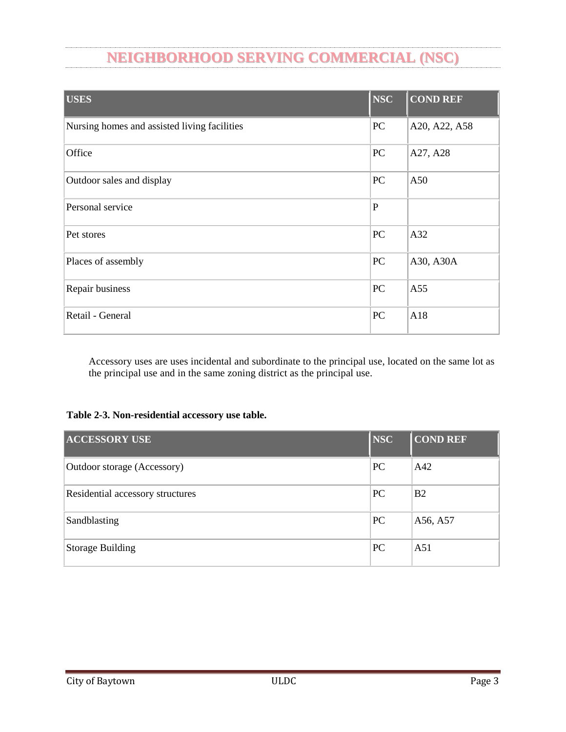|    | <b>Land Use</b>            | <b>Applicable</b><br><b>Zoning</b><br><b>District</b> |                                                                                                                                              | <b>Conditions</b>                                                                                                                                                                                                                                                                                                           |  |  |
|----|----------------------------|-------------------------------------------------------|----------------------------------------------------------------------------------------------------------------------------------------------|-----------------------------------------------------------------------------------------------------------------------------------------------------------------------------------------------------------------------------------------------------------------------------------------------------------------------------|--|--|
|    |                            |                                                       | (b)                                                                                                                                          | Vehicle fueling station minimart shall not have a drive<br>through for food service in NSC.                                                                                                                                                                                                                                 |  |  |
|    |                            |                                                       | (c)                                                                                                                                          | Vehicle fueling station minimart is allowed only if locatedon<br>(i) an arterial street, (ii) a collector street, or (iii) a local street<br>intersecting a street of higher classification.                                                                                                                                |  |  |
| 16 | Vehicle fueling<br>station | All, where<br>permitted                               |                                                                                                                                              | Vehicle fueling stations must provide opaque screening adjacent<br>to any residential dwelling or property zoned for residential use.                                                                                                                                                                                       |  |  |
|    | 18 General retail          | NSC, ACE                                              |                                                                                                                                              | General retail shall not exceed 10,000 square feet in building<br>size.                                                                                                                                                                                                                                                     |  |  |
| 19 |                            | ACE, NSC                                              | (a)                                                                                                                                          | Grocery stores shall not exceed 10,000 square feet in<br>building size in NSC.                                                                                                                                                                                                                                              |  |  |
|    | Grocery stores             |                                                       | (b)                                                                                                                                          | Grocery stores shall not exceed 40,000 square feet in<br>building size in ACE.                                                                                                                                                                                                                                              |  |  |
|    |                            |                                                       |                                                                                                                                              | In making the determination that no group housing use<br>requiring a special use permit exists within one-half mile,<br>the director may consider information provided by the<br>ii.<br>applicant, information contained in the records of the city,<br>and information obtained by physical inspection of the<br>premises. |  |  |
|    | 28 Office                  | NSC, ACE                                              | Office shall not exceed 10,000 square feet in building size in<br>NSC.<br>Office shall not exceed 4,000 square feet in building size in ACE. |                                                                                                                                                                                                                                                                                                                             |  |  |
|    | $30$ Places of assembly    | All, where<br>permitted                               | (a)                                                                                                                                          | Direct vehicle access shall be provided from a collector or<br>higher classification street.                                                                                                                                                                                                                                |  |  |
|    |                            |                                                       | (b)                                                                                                                                          | Outdoor uses associated with places of assembly shall be<br>setback at least 300 feet from any residential property line. If<br>a place of assembly has an outdoor use, there shall be opaque<br>screening along the common property line with any adjacent<br>residential uses.                                            |  |  |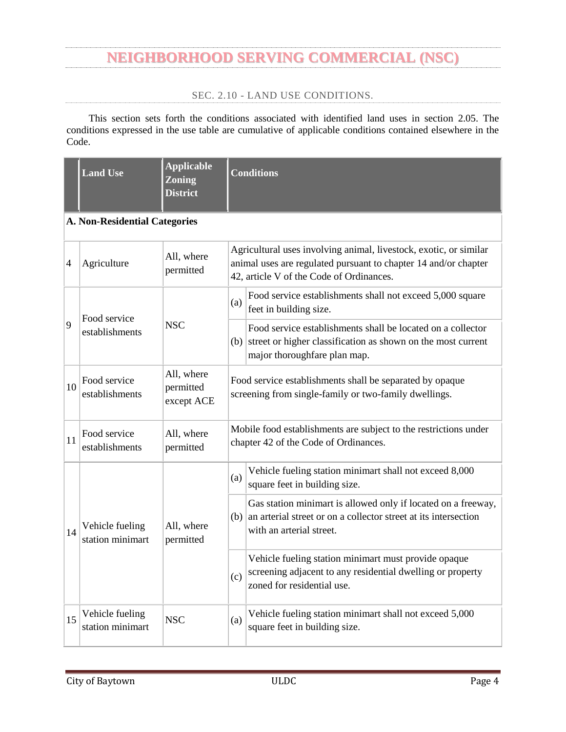|    | <b>Land Use</b>                                       | <b>Applicable</b><br><b>Zoning</b><br><b>District</b> | <b>Conditions</b>                                                                                                                                                                                                                        |                                                                                                                                                                                                                                                                                                                           |  |  |
|----|-------------------------------------------------------|-------------------------------------------------------|------------------------------------------------------------------------------------------------------------------------------------------------------------------------------------------------------------------------------------------|---------------------------------------------------------------------------------------------------------------------------------------------------------------------------------------------------------------------------------------------------------------------------------------------------------------------------|--|--|
| 32 | Pet stores                                            | All, where<br>permitted                               |                                                                                                                                                                                                                                          | A dog run may be placed on site at a pet store, where it is not<br>adjacent to any dwelling unit and it may not be used for<br>overnight sleeping of animals.                                                                                                                                                             |  |  |
|    |                                                       |                                                       | (a)                                                                                                                                                                                                                                      | All manufacturing (custom) activities are to be contained<br>entirely within a building.                                                                                                                                                                                                                                  |  |  |
| 49 | Manufacturing<br>(custom)                             | All, where<br>permitted                               | (b)                                                                                                                                                                                                                                      | Storage or manufacturing of hazardous cargo and/or<br>materials is prohibited.                                                                                                                                                                                                                                            |  |  |
|    |                                                       |                                                       | (c)                                                                                                                                                                                                                                      | All manufacturing (custom) activities shall be limited to<br>10,000 square feet of floor area or less.                                                                                                                                                                                                                    |  |  |
| 50 | Outside sales and<br>display                          | All, except LI<br>and HI                              | Outside sales and displays are limited in area to 500 square feet<br>or 10% of the gross floor area of primary uses, whichever is<br>greater, and shall be considered as retail sales floor area for<br>purposes of calculating parking. |                                                                                                                                                                                                                                                                                                                           |  |  |
|    | $51$ Storage building<br>and HI                       | All, except LI                                        | (a)                                                                                                                                                                                                                                      | Storage buildings are limited in area to 500 square feet or<br>10% of the gross floor area of the primary use, whichever is<br>greater, and shall be considered as retail sales floor area for<br>purposes of calculating parking.                                                                                        |  |  |
|    |                                                       |                                                       | (b)                                                                                                                                                                                                                                      | Storage buildings must be placed behind the front building<br>frontage of the structure housing the primary use.                                                                                                                                                                                                          |  |  |
|    |                                                       | All, where                                            | (a)                                                                                                                                                                                                                                      | Outdoor storage shall be separated by opaque screening from<br>all adjacent uses and all public rights-of-way.                                                                                                                                                                                                            |  |  |
|    | 55 Repair Business                                    | permitted                                             | (b)                                                                                                                                                                                                                                      | Repair work shall be performed wholly inside of an enclosed<br>structure.                                                                                                                                                                                                                                                 |  |  |
|    | 56 Sandblasting                                       | MU, GC,<br>NSC, ACE,<br>LC                            | Sandblasting must be conducted wholly within an enclosed<br>structure.                                                                                                                                                                   |                                                                                                                                                                                                                                                                                                                           |  |  |
|    | Nursing homes<br>58 and assisted living<br>facilities | <b>NSC</b>                                            | (a)                                                                                                                                                                                                                                      | Nursing homes and assisted living facilities shall provide a<br>20-foot vegetative buffer zone consisting of one tree and<br>eight shrubs for every 30 linear feet of the shared property<br>line between all residential zoning districts and uses. The<br>plantings shall meet the specifications of section 18-1203 of |  |  |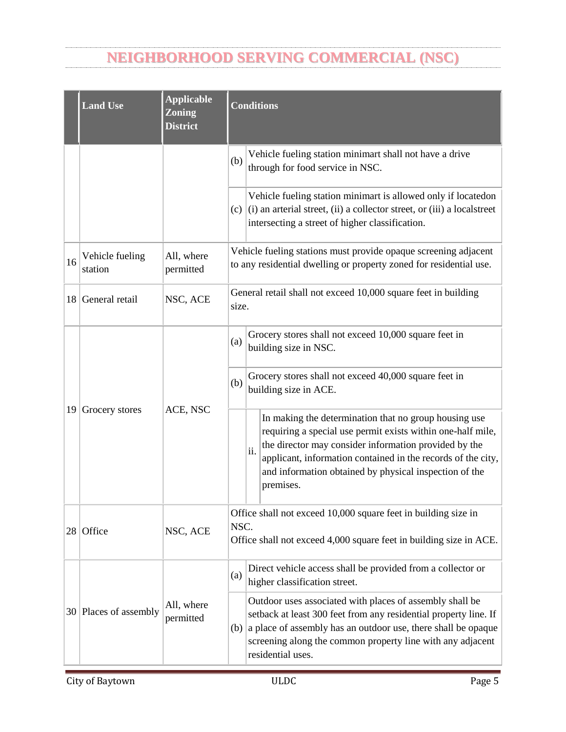| <b>Land Use</b> | Applicable<br>Zoning<br><b>District</b> | <b>Conditions</b> |                                                                                              |
|-----------------|-----------------------------------------|-------------------|----------------------------------------------------------------------------------------------|
|                 |                                         |                   | the Code of Ordinances.                                                                      |
|                 |                                         | (b)               | Nursing homes and assisted living facilities shall be located<br>on arterials or collectors. |

### ARTICLE III. - DESIGN AND COMPATIBILITY STANDARDS

### DIVISION 1. - PROPERTY DEVELOPMENT STANDARDS

### <span id="page-7-1"></span><span id="page-7-0"></span>**Table 3-1. Property development standards.**

| <b>Zoning Category</b>                      | <b>NSC</b> |
|---------------------------------------------|------------|
| Minimum lot size (square feet)              | 10,000     |
| Minimum front setback                       | 15         |
| Minimum rear setback                        | 5          |
| Minimum interior side setback               | 5          |
| Minimum street side setback                 | 15         |
| Maximum height (in feet)                    | 35         |
| Percent maximum lot coverage                | 90         |
| Minimum lot frontage required (linear feet) | 60         |
|                                             |            |

<span id="page-7-2"></span>\* Flag lots are permitted in this district that do not meet the minimum lot frontage required subject to the provisions of section 3.01, subsection (e).

### SEC. 3.01 - LOTS.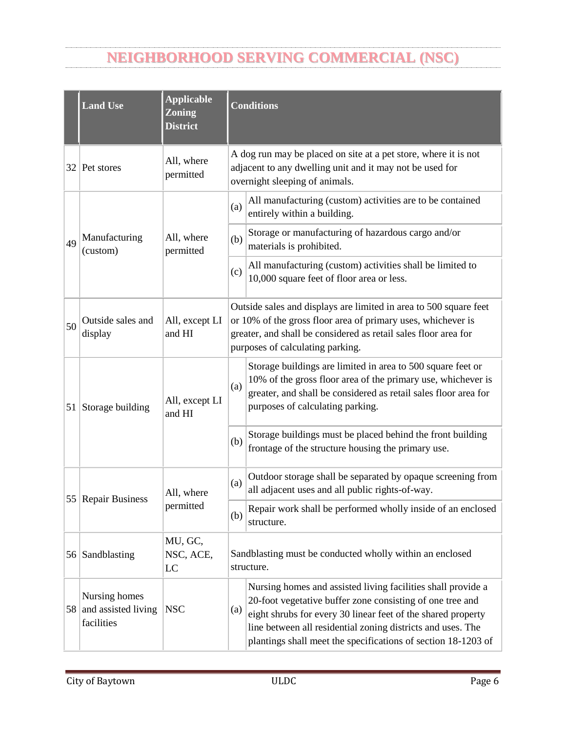- (a) *Previously platted lots.* No requirement of this section shall prevent the development of a legally platted lot approved by the planning and zoning commission prior to April 13, 2013, so long as the development meets all other applicable provisions of this ULDC.
- (b) *Area.* Each lot shall have a minimum area as set forth in table 3-1.
- (c) *Required frontage.*
	- (1) Each lot shall have frontage on a dedicated public right-of-way on which a street is accepted and built to the city's engineering standards or on a private, platted street that is built to the city's engineering standards as set forth in table 3-1.
	- (2) Each lot shall have a minimum width no less than the lot's minimum frontage width as set forth in table 3-1.
	- (3) Radial lots shall have at least 20 feet of frontage.
- (d) *Layout.* Where lot lines intersect the right-of-way, the lot lines shall be at a 90-degree angle with the right-of-way.
- (e) *Flag lots.*
	- (1) A flag lot consists of a narrow strip of land called a staff that provides access from the public street to a principal portion of a lot. The staff of the flag lot must meet the minimum dimension requirements of subsection (4) below. The principal portion of the lot must meet the minimum property development standards set forth in table 3-1.
	- (2) Flag lots shall only be used to provide for vehicular access to the principal portion of a lot through a staff and shall not be allowed if access to a public street in accordance with the minimum property development standards set forth in table 3-1 is available.
	- (3) The staff portion of the lot shall only be used for vehicular access purposes.
		- a. The staff portion of the lot shall be deed restricted so that it shall only be used for ingress and egress.
		- b. The restriction must preclude construction of any building, structure, wall or fence within those portions.
		- c. The restriction must clearly indicate any portion of the staff that is to be used as a joint or shared access.
	- (4) *Dimensions.*
		- a. If a flag lot that is zoned for single or two-family residential use derives access solely from its own staff, the minimum width of the staff shall be 20 feet.
		- b. If a flag lot that is zoned for any non-residential or multifamily use derives access solely from its own staff, the minimum width of the staff shall be 24 feet.
		- c. If a flag lot derives its access in common with another lot, the combined common access shall have a minimum width of 20 feet.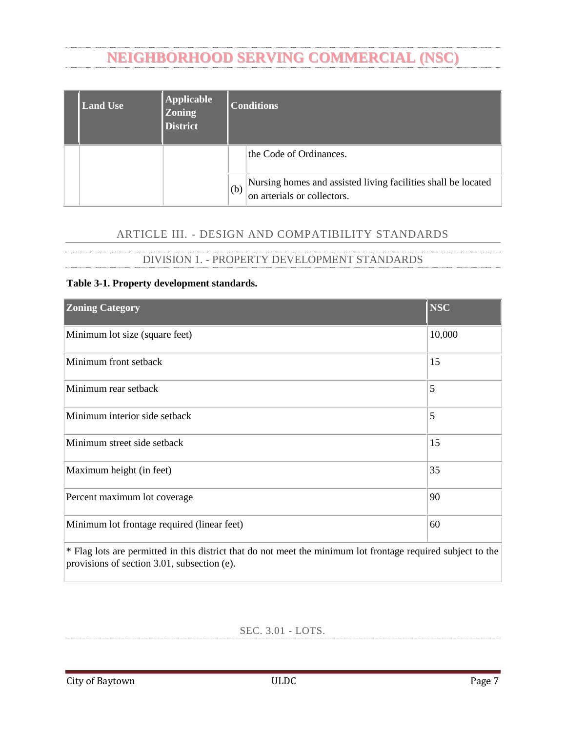SEC. 3.02 - SETBACKS.

<span id="page-9-0"></span>(a) Double frontage lots shall have setbacks that are at least equal to the required front or side yard setbacks of adjacent lots.



*Figure 3-1. Double Frontage Lots*

(b) Parking stalls and drive aisles shall be allowed within all setbacks. Drive aisles with ingress/egress access to a collector or arterial street shall not be located parallel to a street so that turning movements occur within 20 feet of the property line. There shall be no parking stalls located along the entrance driveway/apron to the drive aisle, which may interfere with stacking of vehicles upon entrance to the property.





*Examples of Allowable Configurations*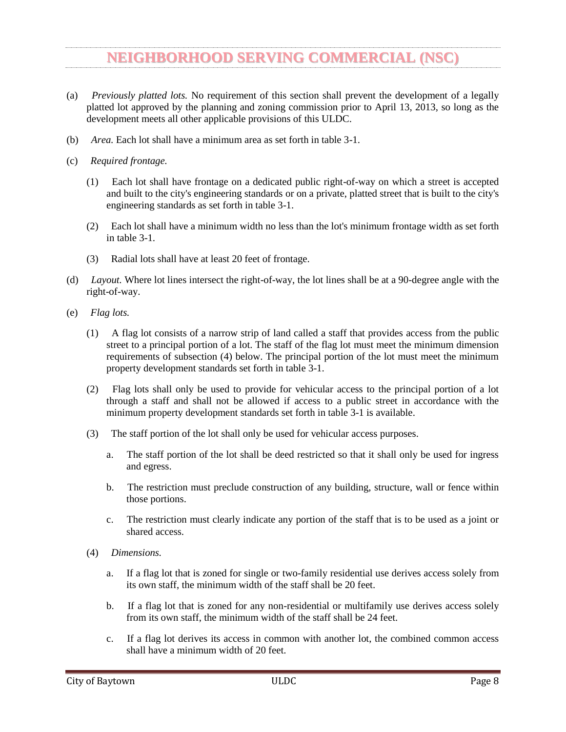

*Examples of Configurations that are Not Allowed*

- (c) The following features may be located within required setbacks so long as they are in conformance with the visibility triangle standards in section 122-3 of the Code of Ordinances:
	- (1) Trees, shrubbery or other features of natural growth;
	- (2) Fences or walls may be placed in the front, side or rear yard setbacks provided that they do not violate sight triangles and provided that fences in the front yard setback are non-opaque;
	- (3) Off-street parking areas and sidewalks;
	- (4) Signs, if permitted by chapter 118 of the Code of Ordinances;
	- (5) Bay windows, architectural design embellishments and cantilevered floor areas of buildings that do not project more than two feet into the required setback;
	- (6) Eaves that do not project more than two feet into the required setback;
	- (7) Open outside stairways, entrance hoods, terraces, canopies, carports and balconies that do not project more than five feet into a required front or rear setback or more than two feet into a required side setback;
	- (8) Chimneys, flues and ventilating ducts that do not project more than two feet into a required setback and when placed so as not to obstruct light and ventilation;
	- (9) Open, unenclosed porches that do not project more than five feet into a required front or rear setback or more than two feet into a required side setback;
	- (10) Utility lines, wires and associated structures, such as power poles; and
	- (11) Mechanical equipment, such as air conditioning units, pool filtering and heating equipment, water softeners and similar equipment, if the equipment does not restrict pedestrian access through such setbacks and if it is totally screened from view from abutting property and rightsof-way by fences, walls or landscaping.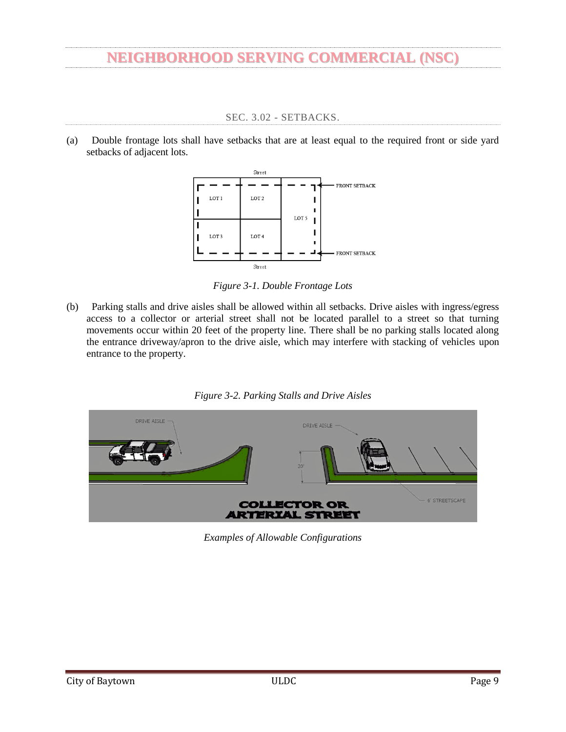#### SEC. 3.03 - HEIGHT.

- <span id="page-11-0"></span>(a) *Buildings.* Each zoning district shall have a maximum building height as specified in table 3-1.
	- (1) Building height shall be measured as the vertical distance between the average finished grade at the base of the building and the mean height of the roof. The mean height of the roof is determined by averaging the highest and lowest points of the roof.
	- (2) For fences or walls, height shall be measured on the side with the least vertical exposure above the finished grade to the top of the fence or wall.
	- (3) Buildings in the heavy industrial (HI) zoning district have a maximum height of 60 feet unless the entire building is equipped with a National Fire Protection Association ("NFPA") 13 fire sprinkler system, then the maximum height shall be 75 feet.
- (b) *Exemptions.* The following structures and features shall be exempt from the height requirements of this ULDC to the extent indicated:
	- (1) Chimneys;
	- (2) Cupolas, widow walks;
	- (3) Utility poles and support structures;
	- (4) Cooling towers and ventilators;
	- (5) Municipal or other state or county government utility infrastructure; and
	- (6) Spires and church steeples.

DIVISION 2. - OPERATIONAL PERFORMANCE STANDARDS

#### SEC. 3.08 - STANDARDS.

<span id="page-11-1"></span>Under this division, the following standards shall apply:

- (a) *Noise.* Sites shall be laid out and uses shall be operated to prevent noise from becoming a nuisance to adjacent single-family and duplex uses;
- (b) *Vibration.* All uses shall be operated so that ground vibration is not perceptible outside the lot lines of the site on which the use is located;
- (c) *Fire and explosive hazards.* Underground storage tanks for flammable liquids and gasses shall be located at least 50 feet from the lot line of lots that contain a single-family or duplex use; aboveground tanks shall be set back at least 100 feet from such lot lines, unless the board of adjustment determines, based on information provided by the applicant, that a 50-foot setback will ensure compliance with all applicable state standards. The storage tank setback requirements of this subsection shall not apply to tanks that are necessary to single-family or duplex units; and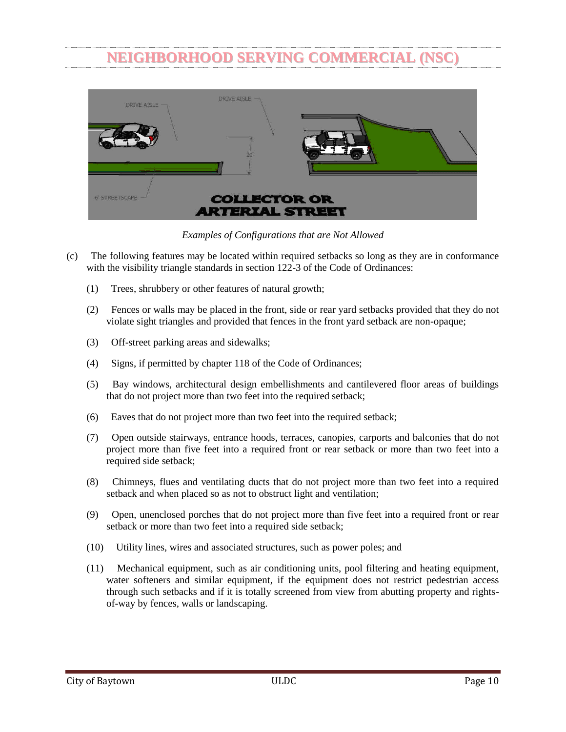- (d) *Light and glare.* The following operational performance standards shall apply:
	- (1) All exterior lighting shall be hooded or otherwise shielded so that the light source is not directly visible from property that contains a single-family or duplex;
	- (2) All lighting shall be shielded so that substantially all emitted light falls within the property line of the property from which the light emanates;
	- (3) All exterior building floodlights shall be shielded so that all emitted light falls upon the property from which the light emanates;
	- (4) No illumination shall produce direct, incident or reflected light that interferes with the safe movement of motor vehicles on public streets. The types of lighting that shall be prohibited by this subsection shall include but not be limited to any light that may be confused with or construed as a traffic control device and any animated, flashing or changing intensity lights, except for temporary holiday displays; and
	- (5) Electromagnetic interference. No operations or activities shall be conducted that cause electrical disturbances to be transmitted across lot lines.
- (e) *Screening.* Non-residential and multifamily residential development, including off-street parking areas associated with such developments, shall be screened from view of adjacent single-family or duplex use and any property zoned SFE, SF1, SF2, or OR. Such visual screening shall be accomplished through the use of opaque fence meeting the requirements of division 2 of article X of chapter 18, pertaining to buffer fencing, along the lot line that is adjacent to the single-family or duplex use or property zoned SFE, SF1, SF2 or OR. Mechanical equipment, outdoor storage areas and refuse collection areas shall be completely shielded from view of adjacent single-family or duplex uses, scenic corridors or property zoned SFE, SF1, SF2 or OR by an opaque fence or wall made of material specified in division 2 of article XII of chapter 18 that is at least one foot taller than the site feature being screened from view, provided this shall not be interpreted as requiring screening, fences, or walls to be taller than ten feet. Fences, walls and buffers must comply with all other requirements of the ULDC.
- (f) *Drilling, oil or gas operations.* Subsection (e) of this section shall not apply to drilling, oil or gas operations. All drilling, oil or gas operations must be in compliance with the Code, including chapter 62 and this ULDC.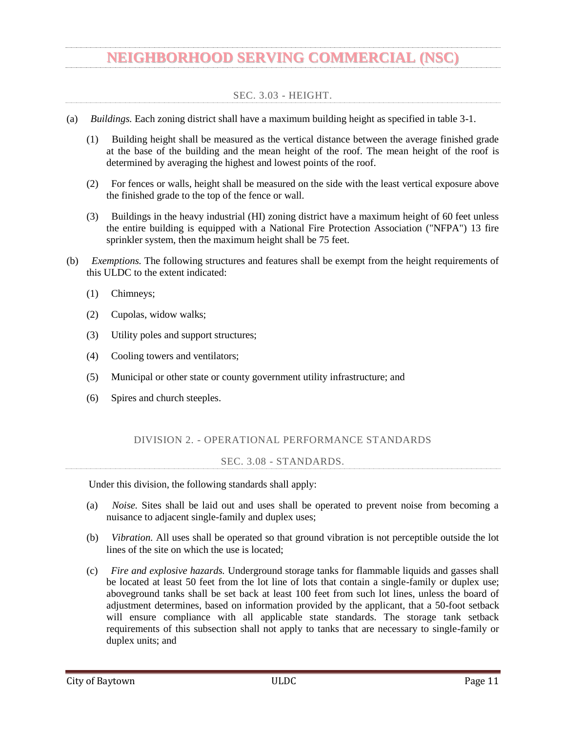### DIVISION 3. - NON-RESIDENTIAL ZONES

#### SEC. 3.10 - APPLICABILITY.

<span id="page-13-1"></span><span id="page-13-0"></span>Any parcel zoned one or more of the non-residential zoning categories shall comply with the masonry, architectural and site design standards listed in this section.

- (a) *Masonry.*
	- (1) All building facades other than accessory use buildings less than 500 square feet, shall have all exterior walls constructed using masonry materials in accordance with the minimum masonry materials coverage percentage shown in table 3-2, exclusive of doors and windows, according to the zoning district in which the building is located and street on which the building faces.
	- (2) Rear facades facing a public street or parking lot shall be considered a side facade and shall be subject to the side facade standard applicable to that zoning district and street classification as shown in table 3-2.

### **Table 3-2. Non-residential minimum masonry materials coverage percentage (%) requirement.**

| Zoning<br>District | <b>Building</b><br> Square<br>Footage | Arterial Streets, State Highway and Interstate Collector and Local Street<br><b>Highway (Freeways) Standard</b> |             | <b>Standards</b> |       |             |                |
|--------------------|---------------------------------------|-----------------------------------------------------------------------------------------------------------------|-------------|------------------|-------|-------------|----------------|
|                    |                                       | Front                                                                                                           | <b>Side</b> | <b>Rear</b>      | Front | <b>Side</b> | Rear           |
| <b>NSC</b>         |                                       | 80                                                                                                              | 50          | $0^*$            | 60    | 40          | $\mathbb{0}^*$ |

**Note:** Rear facades facing a public street or parking lot shall be considered a side facade and use the side facade standard applicable to that zoning district and street classification.

- (b) *Architectural.* The following standards apply only to all building facades that face a street or public right-of-way and to each whole story that is completely or partially within 40 feet in height as measured from the finished floor elevation:
	- (1) *Articulation and relief.*
		- a. Buildings over 40 feet in length shall have some sort of building relief of at least 12 inches which may include pilasters, columns, niches, or other variations in building plane.
		- b. Buildings over 25 feet in height shall utilize ledges, brick or stone courses, or other variations in building plane in order to delineate each story.
	- (2) *Style elements.* Style elements affect the building(s) entrance treatment and hierarchy, provide for architectural embellishment, or enhance the transition from public property to private property.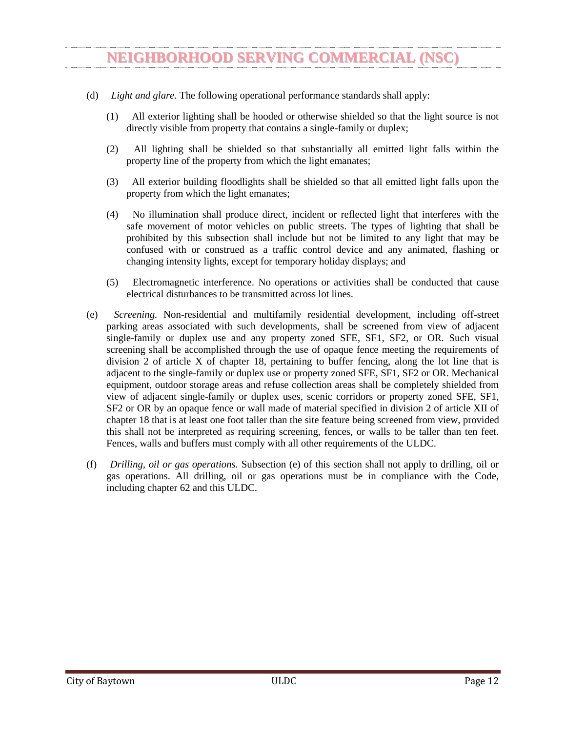- a. Buildings facing any street or public right-of-way, except public alleys, shall be required to utilize two different style elements.
- b. Acceptable style elements include, but are not limited to, recessed entries, stoops, storefront bay windows, public/private entrance differentiation, permanent decorative awnings, canopies, overhangs, porches, arcades, balconies, outdoor patios, public art displays, and plaza space.
- (c) *Site design.*
	- (1) Sidewalks in conformance with chapters 18 and 122 of the Code of Ordinances shall be installed from property line to property line at the expense of the property owner in all adjacent rights-of-way prior to the issuance of a certificate of occupancy or completion for a new commercial building.
	- (2) A connection from the primary building entrance to the public sidewalk system shall be provided using an all-weather surface.
	- (3) Detention facilities shall be setback at least 30 feet from all public rights- of-way and shall be screened from view from public streets. Detention facilities may encroach into the required 30-foot setback if they are designed and maintained as a landscaped feature. Detention facilities must be separated from all adjacent uses by an opaque screen.
	- (4) Commercial waste enclosure(s). Commercial waste enclosures shall be incorporated into the overall design of the building and landscape so that visual impact of brush and commercial waste containers are fully contained and out of view from adjacent properties and public rights-of-way. Commercial waste enclosures shall be:
		- a. Located in the rear or side yard;
		- b. Subject to setback standards described in Table 3.1;
		- c. Placed a minimum distance of 20 feet from any public right-of-way, public sidewalk, or property line that abuts a residential zoning district or any residential use;
		- d. Constructed of any one or more of the following materials and include an opaque gate:
			- Redwood:
			- Rough cedar;
			- Pressure treated lumber;
			- Brick:
			- Concrete; and
			- Masonry materials as defined within article IV of the ULDC.

Metal and plastic are prohibited materials for any visible exterior wall of the commercial waste enclosure, except for the required opaque gate; and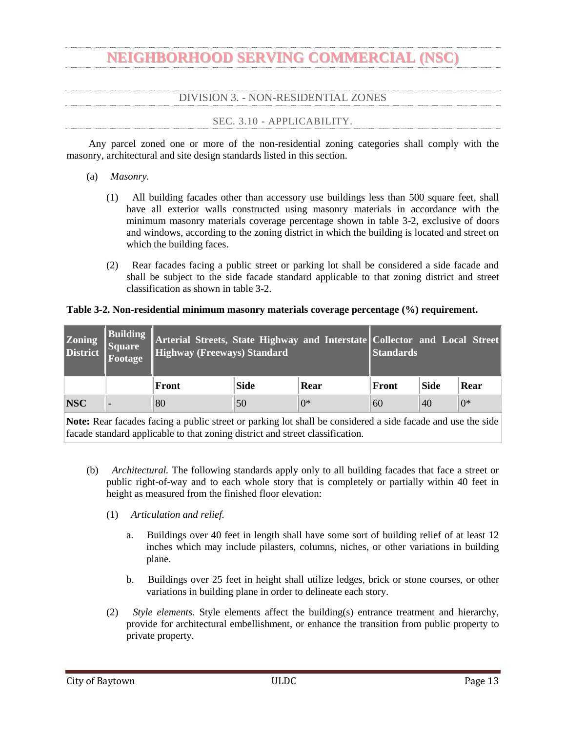- e. A minimum height of the greater of (i) six feet or (ii) one foot taller than the waste container; provided that the maximum height shall not exceed ten feet in height.
- <span id="page-15-0"></span>(d) *Landscape.* The standards for landscaping are set forth in chapter 18 of the Code of Ordinances.

### DIVISION 5. - DISTRICT COMPATIBILITY STANDARDS

#### SEC. 3.14 - COMPATIBILITY STANDARDS.

<span id="page-15-1"></span>The following additional standards are applicable to property that is located at the boundary of two or more zoning districts. The following standards are also applicable to the portion of the LI or HI boundary that is within 300 feet of the referenced zoning district. The more intense new non-residential or multifamily use shall implement the applicable compatibility standards before a certificate of occupancy or completion will be issued.

(d) *Neighborhood serving commercial (NSC).* New development that is zoned NSC and located adjacent to a property zoned OR, UN, SFE, SF1, SF2, MF1 or MF2 shall meet all the requirements of the property development standards table in article three, division 1 of the ULDC and install a minimum of a six-foot-tall opaque screen between any property zoned OR, UN, SFE, SF1, SF2, MF1 or MF2.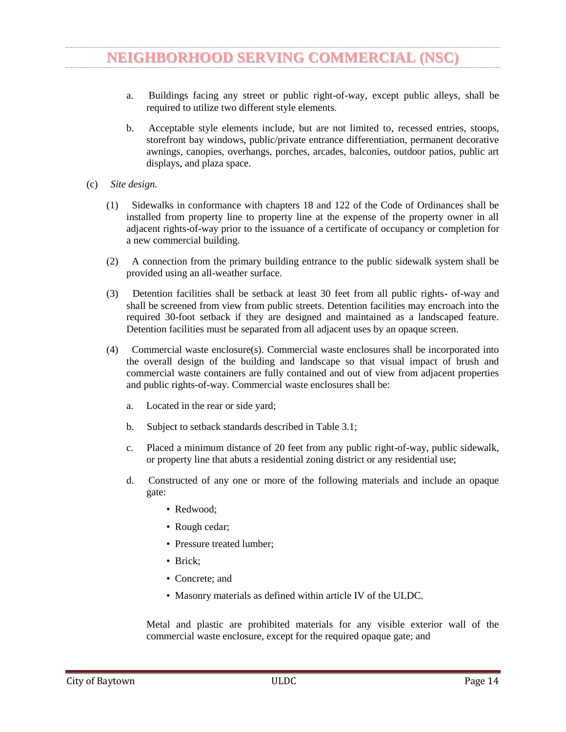### GENERAL ORDINANCES

### CHAPTER 112 – OFF-STREET PARKING

### SEC. 112-4. - MINIMUM REQUIREMENTS FOR SPACES.

- <span id="page-16-2"></span><span id="page-16-1"></span><span id="page-16-0"></span>(a) *Minimum number of parking spaces.* There shall be provided, at such time as a building permit is issued for the erection, alteration or use change of a structure, off-street parking spaces in accordance with the following minimum requirements:
	- (1) Bowling alley: Five parking spaces for each lane;
	- (2) Business or professional office, studio, bank, medical or dental clinic: Three parking spaces plus one additional parking space for each 200 square feet of floor area over 500;
	- (3) Church, theater, auditorium (except school), sports arena, stadium or gymnasium: One parking space for each four seats or bench seating spaces;
	- (4) Community recreation center, library, museum or art gallery: Ten parking spaces plus one additional space for each 300 square feet of floor area in excess of 2,000 square feet. If an auditorium is included as a part of the building, its floor area shall be deducted from the total and additional parking provided on the basis of one space for each four seats that it contains;
	- (5) Dancehall, assembly or exhibition hall without fixed seats: One parking space for each 100 square feet of floor area used thereof;
	- (6) Fraternity, sorority or dormitory: One parking space for each three beds;
	- (7) Furniture or appliance store, hardware store, wholesale establishment, machinery or equipment sales and service, clothing or shoe repair or service shop: Two parking spaces plus one additional parking space for each 300 square feet of floor area over 1,000;
	- (8) Hospital: Four parking spaces plus one additional parking space for each four beds;
	- (9) Hotel: One parking space for each sleeping room or suite plus one parking space for each 400 square feet of commercial floor area contained therein;
	- (10) Industrial plant: The number of parking spaces required to accommodate all plant employees and construction forces on any single shift;
	- (11) Mortuary or funeral home: One parking space for each 50 square feet of floor space in slumber rooms, parlors or individual funeral service rooms;
	- (12) Motor vehicle sales room or car lot: One parking space for each 500 square feet of sales floor area with a minimum of three parking spaces;
	- (13) Private club, lodge, country club or golf club: One parking space for each 150 square feet of floor area for every five members, whichever is greater;
	- (14) Restaurant, nightclub, cafe or similar recreation or amusement establishment: One parking space for each 100 square feet of floor area;
	- (15) Retail store or personal service establishment, except as otherwise specified in this section: One parking space for each 200 square feet of retail sales or floor area;
	- (16) Roominghouse or boardinghouse: One parking space for each sleeping room;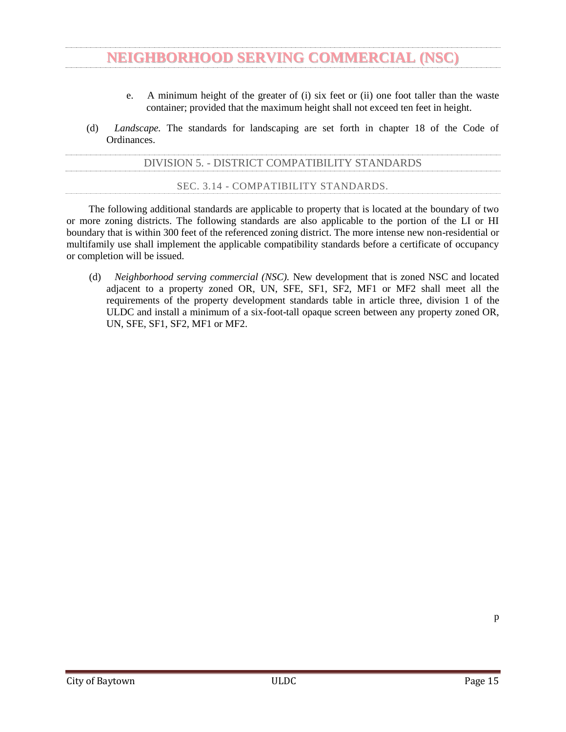- (17) Sanitarium, convalescent home, home for the aged or similar institution: One parking space for each six beds;
- (18) School, elementary: One parking space for each ten seats in the auditorium or main assembly room or one space for each classroom, whichever is greater;
- (19) School, secondary, and college: One parking space for each eight seats in the main auditorium or three spaces for each classroom, whichever is greater;
- (20) Tourist home, cabin or motel: One parking space for each sleeping room or suite;
- (21) Townhouse and two-family dwellings: 2¼ spaces per dwelling unit.
- (22) Multi-family dwellings (three or more dwelling units):

(23) Vehicle or boat repair business, including, but not limited to those defined in section 102-136 and automobile repair, major and minor as defined in the Unified Land Development Code: One space for each service bay, plus one space for every 300 square feet of building floor area.

- (b) *Additional parking spaces for guests.* In addition to the minimum number of parking spaces provided for in subsection (a) of this section, there shall be provided, at such time as a building permit is issued for the erection, alteration or use change of a structure, additional off-street parking spaces in accordance with the following minimum requirements:
	- (1) *Number.*
		- a. Townhouses: Ten percent of the number parking of spaces required in subsection  $(a)(21)$ .
		- b. Two-family dwellings: Ten percent of the number of parking spaces required in subsection  $(a)(21)$ .
		- c. Multifamily dwellings: Ten percent of the number of parking spaces required in subsection  $(a)(22)$ .
	- (2) *Location.*
		- a. All dwelling units of a townhouse, two-family dwelling or multifamily dwelling must have at least one parking space as required in subsection (b)(1) within 300 feet measured by the walking distance on sidewalks or along the street or driveway from the parking space to the nearest entrance to the dwelling unit.
		- b. all parking required by this subsection (b) must be on the same site as the townhouse, twofamily dwelling or multifamily dwelling.
- (c) *Bicycle parking.* One bicycle rack (to accommodate three or more bicycles) per residential building and at the community facilities shall be installed and maintained. The bike rack shall be located not in a sidewalk and not in a required parking space but shall be located so as to provide the ability of the bike user to walk on a sidewalk or along with street to access the bicycle rack.
- (d) *Sidewalks from parking spaces.* Sidewalks connecting all parking areas to residential and to community buildings shall be provided and maintained. Where the sidewalks cross driving aisles (driveways) crosswalks and/or alternate paving materials shall be installed.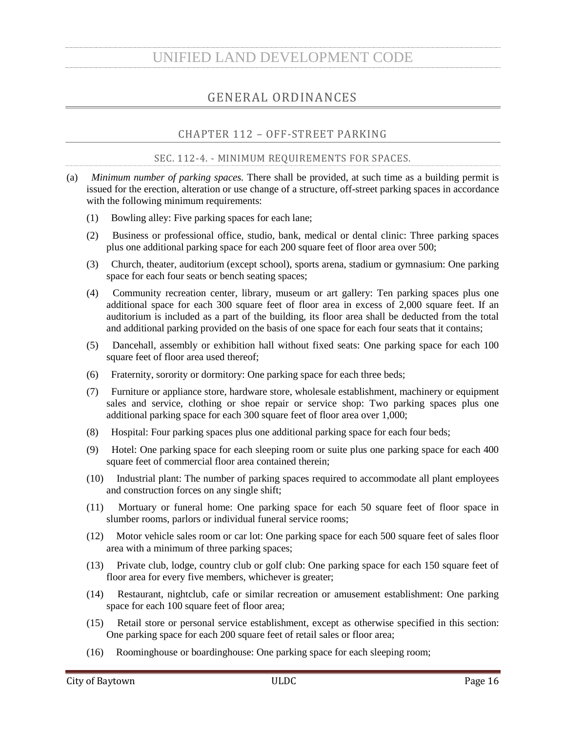#### SEC. 112-5. - RULES FOR COMPUTING NUMBER OF SPACES.

<span id="page-18-0"></span>In computing the number of parking spaces required for each of the uses listed in section 112-4, the following rules shall govern:

- (1) Floor area shall mean the foundation area of the specified use. For a multistory building, each story shall be considered a separate foundation area, so that the total floor area of such building shall include the area of all floors added together;
- (2) Where fractional spaces result, the parking spaces required shall be construed to be the nearest whole number;
- (3) The parking space requirement for a use not specifically mentioned in this chapter shall be the same as required for a use of a similar nature; and
- (4) For mixed uses, the parking spaces required shall equal the sum of the requirements of the various uses computed separately.

SEC. 112-6. - CONSTRUCTION OR USE CHANGES.

<span id="page-18-1"></span>Whenever a building or use is constructed or changed after the effective date of the ordinance from which this chapter derives by enlarging the floor area, number of employees, number of dwelling units, seating capacity or otherwise, to create a requirement for an increase in the number of parking spaces, such spaces shall be provided on the basis of the enlargement or the change in use.

```
SEC. 112-7. - LOCATION OF SPACES.
```
<span id="page-18-2"></span>All parking spaces required in this chapter shall be located on the same lot with the building or use served, except as follows:

- (1) Where an increase in the number of spaces is required by a change or enlargement of the use or where such spaces are provided collectively or used jointly by two or more buildings or establishments, the required spaces may be located not to exceed 300 feet from an institutional building served and not to exceed 500 feet from any other nonresidential building served;
- (2) No more than 50 percent of the parking spaces required for theaters, bowling lanes, dancehalls, nightclubs or cafes may be provided and used jointly by similar uses not normally open, used or operated during the same hours as those listed; provided, however, that written agreement thereto is properly executed and filed as specified in subsection (4) of this section;
- (3) Not more than 80 percent of the parking spaces required for a church or school auditorium may be provided and used jointly by similar uses not normally open, used or operated during the same hours as those listed; provided, however, that written agreement thereto is properly executed and filed as specified in subsection (4) of this section; and
- (4) When the required parking spaces are not located on the same lot with the building or use served or when such spaces are collectively or jointly provided and used, a written agreement thereby assuring their intention for such purposes shall be properly drawn and executed by the parties concerned, approved as to form by the city attorney, and shall be filed with the application for a building permit.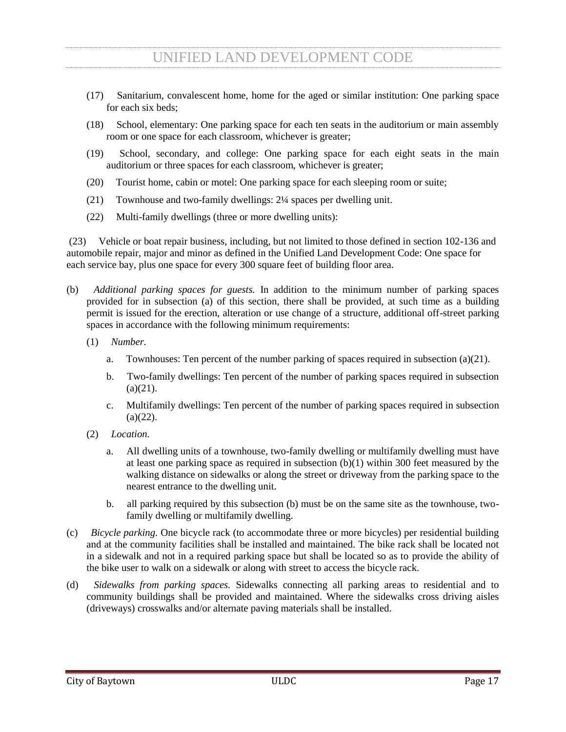### SEC. 112-8. - MINIMUM DIMENSIONS.

<span id="page-19-0"></span>The minimum dimensions for off-street parking spaces required under this chapter shall be as follows:

- (1) *Ninety-degree angle parking.* Each parking space shall be not less than nine feet wide or less than 18 feet in length. Maneuvering space shall be in addition to parking space and shall be not less than 23 feet perpendicular in width;
- (2) *Sixty-degree angle parking.* Each parking space shall be not less than nine feet wide perpendicular to the parking angle or less than 17 feet in length when measured at the appropriate angles. Maneuvering space shall be in addition to parking space and shall be not less than 20 feet in width;
- (3) *Forty-five-degree angle parking.* Each parking space shall be not less than nine feet wide perpendicular to the parking angle or less than 19 feet in length when measured at the appropriate angles. Maneuvering space shall be in addition to parking space and shall be not less than 11 feet in width; and
- (4) *Other.* Where off-street parking facilities are provided in excess of the minimum amounts specified in this chapter or when off-street parking facilities are provided but not required by this chapter, the off-street parking facilities shall comply with the minimum dimensions for parking and maneuvering space specified in this section.

### SEC. 112-9. - DESIGN STANDARDS.

<span id="page-19-1"></span>Geometric design standards for driveways and off-street parking stalls are set forth in appendix 1 to this chapter, which is on file in the offices of the city clerk and chief building official. Curb cuts shall conform to standards established in the engineering department. Permits for all curb cuts will be issued by the chief building official.

#### SEC. 112-10. - MAINTENANCE OF OFF-STREET PARKING AREAS.

<span id="page-19-2"></span>Parking spaces and pedestrian walkways must be clearly delineated and parking spaces must meet the minimum dimensions specified in section 112-8. Parking spaces must be clearly marked with appropriate striping if on a paved surface or appropriate marking if on an unpaved surface. All improved parking surfaces and walkways shall be maintained in a good and safe condition; and free of any defects affecting the use, safety, appearance or drainage of the surface or of the adjoining property.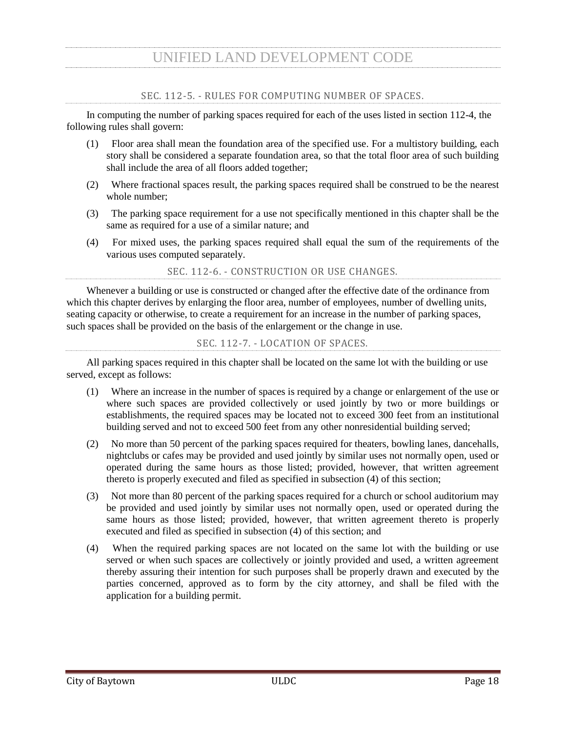### SEC. 18-93. - SIDEWALKS.

<span id="page-20-0"></span>(a) *Definitions.* The following words, terms and phrases, when used in this section, shall have the meanings ascribed to them in this subsection, except where the context clearly indicates a different meaning:

*Construction* means the building or placement of any structure requiring a permit from the city.

*Impervious surface* means any type of improvement to real property that will prevent water from passing through to the soil below.

*Primary non-residential structure* means the main structure on a lot or parcel that is anything other than a primary residential structure.

*Primary residential structure* means the main dwelling unit on a lot or parcel that is:

- (1) A detached one- or two-family dwelling; or
- (2) A townhome not more than three stories above grade plane in height, with separate means of egress, and open to a public right-of-way or yard on at least two sides.

*Sidewalk* means a paved path for the use of pedestrians constructed:

- (1) In the right-of-way between the curb lines or the edge of pavement of a roadway and the adjacent property lines; or
- (2) In an easement on private property dedicated to the city or the public for which a sidewalk is permitted to be built.
- (b) *Required.* Except as provided in subsection (c) of this section, sidewalks conforming to the requirements of chapter 122 of this Code shall be constructed when a permit is issued for any of the following:
	- (1) Construction of a primary residential structure in a subdivision platted after July 26, 2012;
	- (2) Construction of a primary non-residential structure within any zoning district with the exception of a LI or HI zoning district; or
	- (3) Construction on a primary non-residential structure or the parking area serving a primary nonresidential structure that would result in either:
		- a. A 30-percent aggregate increase in the existing gross area of impervious surface on the property in any zoning district with the exception of the HI zoning district; or
		- b. Five thousand square feet of new impervious surface area, on the property in any zoning district with the exception of LI or HI zoning district.
- (c) *Exempt.* Construction of sidewalks shall not be required:
	- (1) On a property where a primary residential structure in a residential zoning district, as determined by the ULDC, is being constructed but there is not enough space within the right-ofway to construct a sidewalk as determined by the director of engineering;
	- (2) When a residential lot is platted after July 26, 2012, in an existing residential area where less than 80 percent of the existing homes have sidewalks;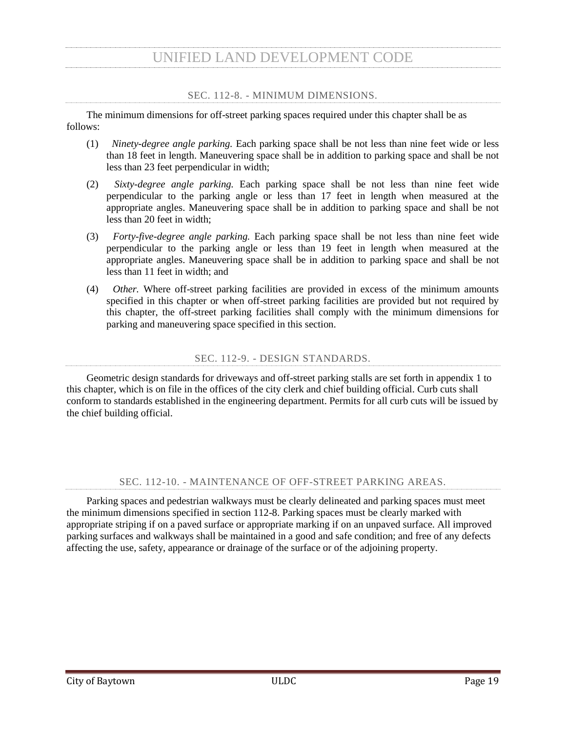- (3) On property where a governmental agency prohibits the construction of sidewalks and the applicant has provided to the chief building official current documentation to this effect from the governmental agency; or
- (4) When, in the opinion of the chief building official, the installation of sidewalks would not be feasible due to planned public improvements and the owner or developer, in lieu of constructing a sidewalk, pays at the time of the issuance of a building permit a fee. Such fee shall be in an amount equal to the cost of the construction of the sidewalk per square foot based upon the competitively bid prices obtained by the city for its annual concrete work contract.
- (d) *Appeals.* Appeals from a decision of the chief building official shall be made in accordance with section 18-58.
- (e) *Violation.* It shall be unlawful for any person to willfully or maliciously tear up, injure, deface or destroy any sidewalk, or any portion thereof.
- (f) *Enforcement.*
	- (1) Any violation of this article shall constitute a misdemeanor punishable, upon conviction, by a fine as provided in section 1-14.
	- (2) In addition to enforcement action taken pursuant to subsection  $(f)(1)$ , certificates of occupancy and certificates of completion shall be withheld until repairs required in subsection (d) of this section have been made and approved by the chief building official.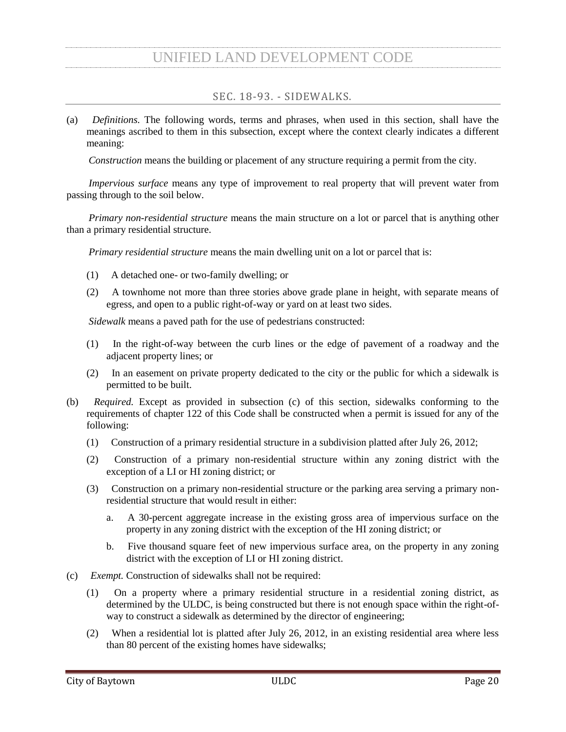### ARTICLE XIV. - LANDSCAPING

### SEC. 18-1201. - GENERAL REGULATIONS.

- <span id="page-22-1"></span><span id="page-22-0"></span>(a) *Title.* This article shall be known and may be referred to as the "Landscaping Ordinance of the City of Baytown" or simply as the "Landscaping Ordinance."
- (b) *Purpose.* This article is adopted for the purpose of promoting the public health, safety and general welfare of the citizens of the city and is intended to achieve one or more of the following:
	- (1) To create an aesthetically pleasing environment that improves the quality of life for citizens;
	- (2) To enhance property values and to protect public and private investment;
	- (3) To promote the beautification of the city;
	- (4) To provide adequate light and air space;
	- (5) To prevent overcrowding of land;
	- (6) To ensure that the local stock of trees and vegetation is replenished; and/or
	- (7) To stabilize the environment's ecological balance by contributing to the processes of air purification, oxygen regeneration, ground water recharge, stormwater runoff, and soil erosion retardation, while at the same time aiding in noise, glare and heat abatement.
- (c) *Applicability.* The provisions of this article shall apply to all nonresidential developments, as that term is defined in section 18-1202, within the city, unless specifically provided otherwise in this article.
	- (1) The landscaping provisions contained in this article shall become applicable to each individual nonresidential lot at the time an application for a new commercial permit is made. When remodeling, redevelopment or reconstruction is proposed on nonresidential property that would result in an expansion of gross floor area, parking lot area, or vehicular surface area, the following provisions apply:
		- a. When remodeling, redevelopment or reconstruction is proposed on nonresidential property that would expand existing gross floor area of the lot's structure or structures by less than 50 percent, only the portion of the site where the expansion is located is subject to the provisions of this article.
		- b. When remodeling, redevelopment, reconstruction or expansion is proposed on nonresidential property that would expand existing gross floor area of the lot's structure or structures by 50 percent or more, the entire property must comply with the provisions of this article. The removal of any portion of an existing building is not required for compliance with this subsection  $(c)(1)b$ .
		- c. If within a three-year period the impervious surface area of a nonresidential development is increased by 25 percent or more or if within a three-year period 25 percent or more of the impervious surface area of a nonresidential development is reconstructed, the requirements of section 18-1206 shall be applied only to the area where the expansion or reconstruction occurs. This provision shall apply only when such expansion or reconstruction is not a part of a structural remodeling, redevelopment or reconstruction project.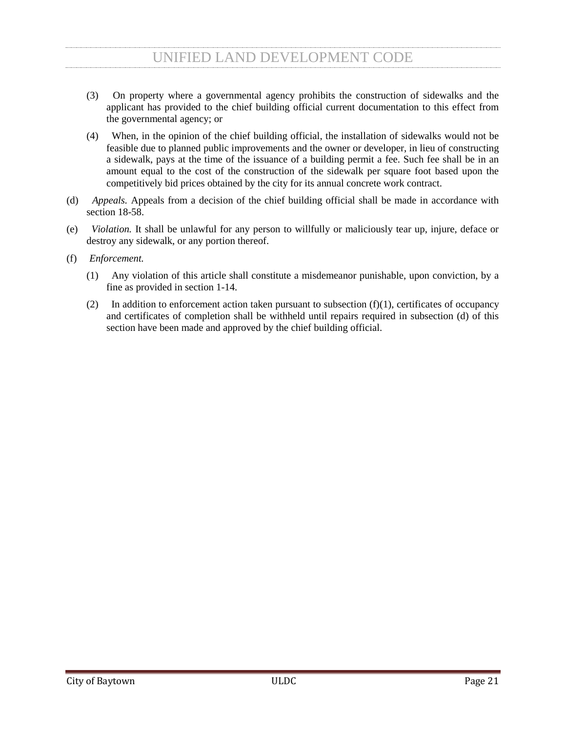- (2) All landscaping requirements under this article shall run with the land and shall apply against any owner or subsequent owner.
- (3) Each phase of a phased project shall comply with the requirements of this article. If the nonresidential development is to be construed in phases, phase lines shall be drawn 20 feet or more from developed site elements (parking, buildings, ponds, etc.). The portion of the land remaining for subsequent phases shall be no less than three-fourths of an acre.
- (4) This article shall have no application to nonresidential developments with parking lots of less than 5,000 square feet.
- (d) *Inconsistent provisions and conflict with other regulations.* In the event that any provision of this article is inconsistent or in conflict with any other provision of this article or any other ordinance or regulation of the city, the more stringent provision shall control, unless otherwise specifically stated.
- (e) *Transitional provisions.*
	- (1) *Building permits.* Except as specifically provided in this article, the provisions of this article shall not affect any valid building permit issued or any valid building permit application filed prior to August 2, 1998, provided that construction pursuant to such permit, is commenced within six months of the date of issuance of the permit and diligently pursued, as determined by the chief building official, to completion in accordance with the applicable regulations of the city.
	- (2) *Subdivision plats.* Except as specifically provided in this article, the provisions of this article shall not affect any preliminary plat or final plat approved pursuant to the regulations of chapter
	- 126.

### SEC. 18-1202. - DEFINITIONS.

<span id="page-23-0"></span>For the purpose of interpreting and administrating the provisions of this article, the words defined in this section shall be given the meanings set forth below. All other words shall be given their common, ordinary meanings, as the context may reasonably suggest.

*Caliper* means the diameter of a tree at 18 inches above ground level.

*Commission* means the city's planning and zoning commission as presently constituted, or any successor commission.

*Developed land* means that portion of real property which has been altered from its natural landscape by the construction or reconstruction of any structure, parking lot, or other improvement.

*Director* means the director of planning and development services.

*Duplex* dwelling use means the use of a lot for two dwelling units within a single building or structure.

*Dwelling unit* means a building or portion of a building that is arranged, occupied or intended to be occupied as a residence and includes facilities for sleeping, cooking and sanitation.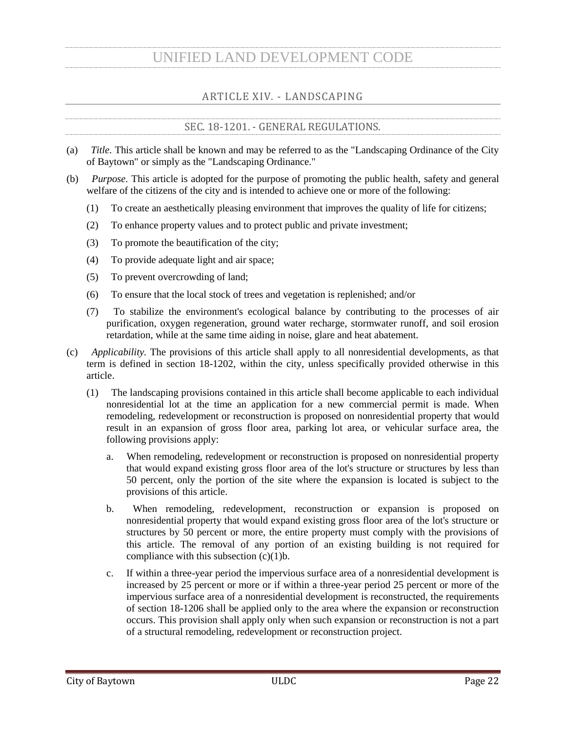*Evergreen tree* means a tree that retains some or all of its leaves throughout the year, which can be used for the purposes of providing a visual screen.

*Existing tree* means a tree which is located on the property prior to a new construction permit being issued by the city.

*Groundcover* means a spreading plant including sods and grasses less than 18 inches in height that may be used for erosion control.

*Impervious surface* area means any surface area that prevents infiltration of water into the soil. Impervious surface may include, but not be limited to, those surfaces covered by asphalt, concrete, crushed stone, clay, bedrock, limestone and compacted soil.

*Landscape reserve* means undeveloped property which is left in its natural state and is of sufficient size for the growth of plants and trees.

*Large tree* means a tree, under normal growth conditions, that reaches a mature height at or above 40 feet. A tree that, at the time of planting, is at least 12 feet tall above grade and has a minimum caliper of three inches.

*Mulch* means various substances that are placed around plants to prevent evaporation, to control weeds and to control soil erosion. Mulch material includes, but is not limited to, organic substances and various forms and sizes of natural rocks.

*Multi-family dwelling* means the use of a lot for three or more dwelling units within a single building.

*New commercial permit* means a building permit required for the construction and/or development of all new nonresidential developments. Nonresidential means any use other than single-family or duplex dwelling use, and expressly includes, but is not limited to, uses associated with multi-family dwellings, manufactured home parks, mobile home parks, RV parks and commercial developments within the city.

*Parking space* means a space used for parking a motor vehicle and satisfying all of the applicable requirements for off-street parking contained in chapter 112.

*Shade tree* means any self-supporting woody plant with one well-defined trunk and a distinct definite formed crown.

*Shrub* means a woody perennial plant differing from a perennial herb by its more woody stem and from a tree by its low stature and habit of branching from the base.

*Single-family dwelling use* means the use of a lot for one dwelling unit.

*Small tree* means a type of tree that, under normal growth conditions, that reaches a mature height between 20 and 40 feet. A tree that, at the time of planting, is at least six feet tall above grade and has a minimum caliper of two inches.

*Streetscape* means the landscaping along the property adjacent to the street rights-of-way as required to be landscaped pursuant to this article.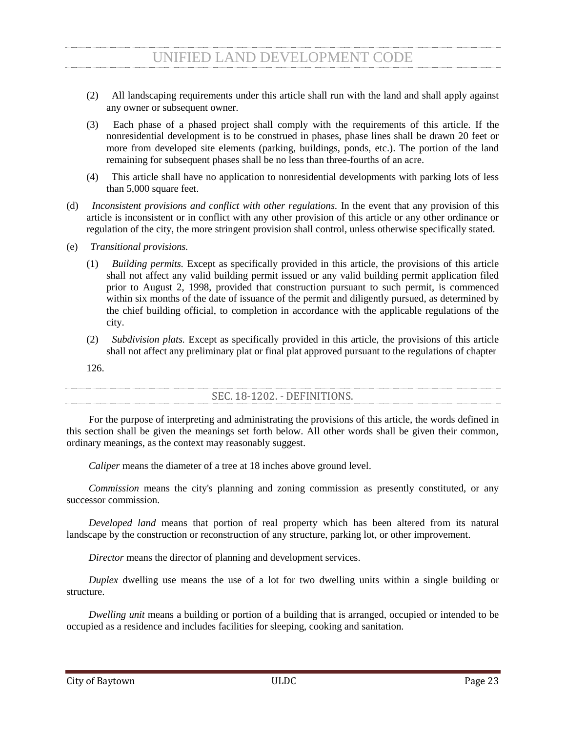*Tree* means any self-supporting woody plant with one well-defined trunk two inches in diameter or greater.

### SEC. 18-1203. - ELIGIBLE TREES, SHRUBS, AND GROUNDCOVER.

<span id="page-25-0"></span>All forms of landscaping are suitable including flowers, ground cover, shrubs, trees and the various forms and sizes of mulch. Unless expressly stated otherwise, all trees shall be a minimum of five feet in height immediate upon planning and have a minimum 1½-inch caliper. All shrubs must be a minimum size of one gallon and be a minimum of 1½ feet in height when planted. Plant height shall be measured from average grade after planting.

#### SEC. 18-1204. - LANDSCAPE PLAN REQUIREMENTS.

<span id="page-25-1"></span>When a new commercial permit is required, the owner shall provide the director as part of his construction documents a landscape plan containing the following information:

- (1) The location of existing boundary lines and dimensions of the tract and the square footage of the total off-street parking area;
- (2) The location of existing and proposed utility easements on or adjacent to the lot and the location of overhead power lines and any underground utilities;
- (3) A description of adjacent land uses, existing developments and roadways;
- (4) The location, size and type of proposed landscaping in areas to be landscaped and the size of proposed landscaped area;
- (5) The location, species and diameter of existing trees having a caliper of 1½ inches or larger. Landscape reserves with numerous trees may be outlined with a description of existing trees to be preserved; and
- (6) All other information necessary for verifying that the minimum landscaping requirements have been satisfied pursuant to this article.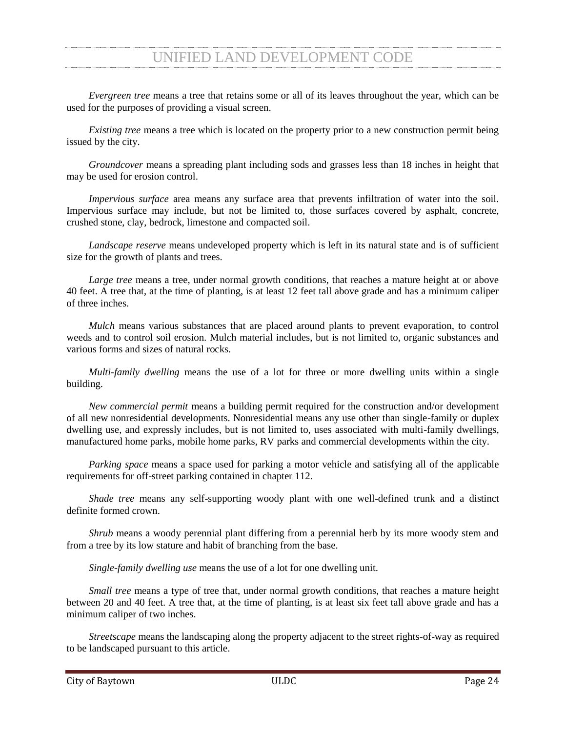### SEC. 18-1205. - LANDSCAPING REQUIREMENTS.

<span id="page-26-0"></span>(a) The owner of the property on which an off-street parking area is located shall be required to provide interior landscaped open spaces for any parking lot 5,000 square feet or larger. All areas within the parking lot's perimeter are counted toward the landscape requirement, including the planting islands, curbed areas, parking spaces, and all interior driveways and aisles. The required landscape open space area shall be calculated as follows:

| <b>Total Off-street Parking</b><br>Area | Percent of the Off-street Parking Area that must be a Landscaped Open<br>Space Area |
|-----------------------------------------|-------------------------------------------------------------------------------------|
| 5,000 $-9,999$ square feet              | 5 percent                                                                           |
| Over 9,999 square feet                  | 7 percent                                                                           |

At least 50 percent of the required landscaped open space shall be located within the parking lot as an island or as a peninsula in order to be applied towards the landscaped requirements of this section. The remaining 50 percent of the required landscape open space may be located outside of the parking lot, but must be located forward of the rear building line of the primary structure and be visible from the public street.

(a) A minimum of one shade tree and four shrubs shall be planted and maintained for each 350 square feet or portion thereof of landscaped open space area. Credit may be given or received for preservation of existing trees as follows; provided, that the existing trees are located near or within the parking lot's perimeter, in good form and condition and reasonably free of damage by insect, disease or other affliction, as determined by the director:

| <b>Existing Tree Caliper</b> | Tree Credit |
|------------------------------|-------------|
| $1\frac{1}{2}$ inches        |             |
| Over $6-12$ inches           | ∸           |
| Over 12 inches               | 3           |

(c) Groundcover or mulch is required in swales, drainage areas, parking lot islands, landscape reserves and all unpaved portions of the property that is not otherwise used for a parking lot, building site or other improvement.

(d) All persons subject to this ordinance must replace dead landscaping or landscaping that has been removed by any means and for any reason within 45 days of receipt of written notification by the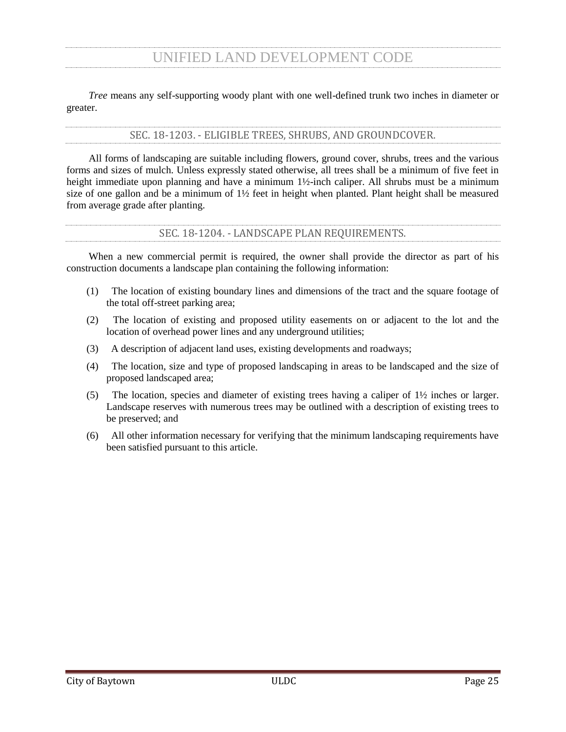director. Failure to replace landscaping as required by this section shall constitute a violation of this article punishable as provided in section 18-1208.

- (e) That portion of any off-street parking area, not otherwise required by section 112-4 that is located at a site primarily used for the storage of vehicles is exempt from the requirements of this section. Additionally, public schools of an elementary or secondary level and recreational areas owned by such schools shall be exempt from the requirements of this section.
- <span id="page-27-0"></span>(f) The landscaping requirements of this section shall not be required for heavy industry uses in a HI zoning district.

### SEC. 18-1206. - STREETSCAPE.

- (a) In addition to the landscaping requirements of section 18-1205, the owner of nonresidential property subject to this article shall be required to provide streetscape as described in this section and as depicted in Figure 18-1 "Streetscape Layout." Nothing in this subsection shall be construed as to require streetscape on undeveloped land. Streetscapes shall be no less than six feet wide.
- (b) Streetscape shall be required along the entire length of the property which is adjacent to a street right-of-way, except that streetscape shall not be required across driveways.
- (c) Streetscape shall include an area beginning at the property line which is adjacent to a street right-ofway, extending into the private property to establish the required width as listed in this section.
- (d) The streetscape's trees, shrubs, ground cover, and other landscaping shall be placed and maintained so as not to cause a visual obstruction and so as not to violate section 122-3.
- (e) Streetscapes shall be adequately watered using one of the following methods:
	- (1) Automatic irrigation system; or
	- (2) Manual watering, if all parts of the landscape improvements are within 100 feet of one or more hose bibs, and if a nonresidential streetscape improvement does not exceed 1,500 square feet.
- (f) Streetscape width shall be determined by the street classification as identified by the city's major thoroughfare plan and shall be as follows:

| Classification        | Minimum Streetscape Width |                                   |
|-----------------------|---------------------------|-----------------------------------|
| Local                 | 6 feet                    |                                   |
| Collector             | 6 feet                    |                                   |
| <b>Minor Arterial</b> | Lot Size                  | Minimum<br><b>Street</b><br>Width |
|                       | 1 acre or less            | 6 feet                            |
|                       | More than 1 acre          | 12 feet                           |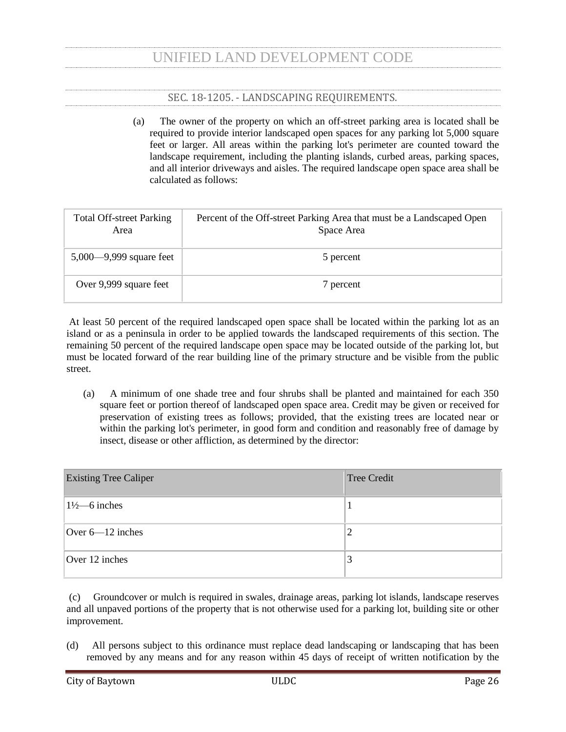| Classification | Minimum Streetscape Width |                                   |
|----------------|---------------------------|-----------------------------------|
| Major Arterial | Lot Size                  | Minimum<br><b>Street</b><br>Width |
|                | 1 acre or less            | 6 feet                            |
|                | More than 1 acre          | 12 feet                           |
| Freeway        | 25 feet                   |                                   |

- (g) Streetscape planting installation.
	- (1) Within a streetscape, large trees can be substituted with small trees where overhead utility lines will conflict with the large tree at or before the tree grows to its mature height.
	- (2) All trees and shrubs are to be planted in an organized fashion and in such a way as to facilitate the creation of a visual screen.
	- (3) Local and/or collector. The streetscape along local and collectors street shall be planted with either large or small trees, planted 30 feet on center, with eight shrubs, not less than two feet in height, for every 30 feet.
	- (4) Minor and major arterials. The streetscape along a major and/or minor arterial street shall be planted with either large or small trees, planted 30 feet on center, with eight shrubs not less than two feet in height for every 30 feet to form an intermittent hedge. No less than 50 percent of the tree plantings shall be large trees along minor and major arterials.
	- (5) Freeway.
		- a. The streetscape along a freeway shall be planted as a staggered double row consisting of small evergreen trees on the front row, and large trees on the back row.
		- b. The front row of trees shall be planted 20 feet on center.
		- c. A minimum of 50% of the back row shall be planted with evergreen trees. This row shall consist of large trees planted 25 feet on center.
		- d. A minimum of 8 shrubs, not less than two feet in height, for every 20 feet forming an intermediate hedge, shall be planted in the front row.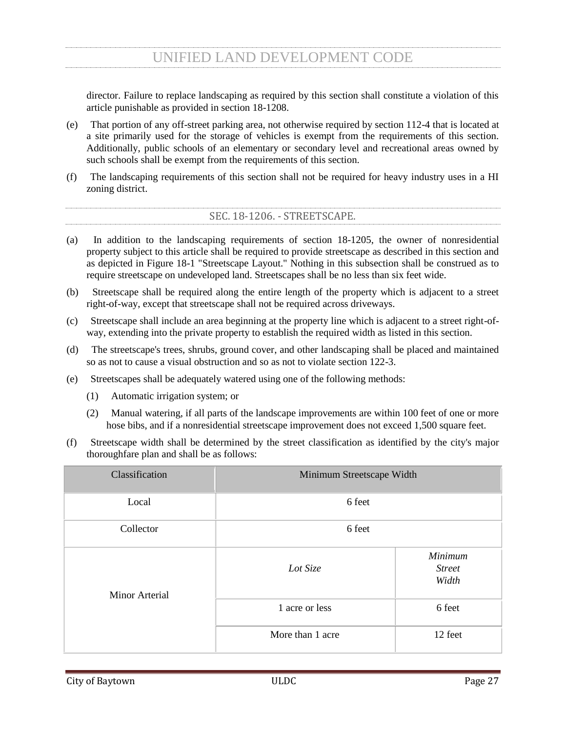

(6) Appropriate tree planting species. Appropriate shade tree species for streetscape and buffers include the following:

| <b>Tree Species</b>                                                                   | Local/<br><b>Collector</b><br><b>Streetscape</b> | <b>Arterial</b><br><b>Streetscape</b> | Freeway<br><b>Streetscape</b> | Vegetative/<br><b>Transition</b><br><b>Buffer</b> |
|---------------------------------------------------------------------------------------|--------------------------------------------------|---------------------------------------|-------------------------------|---------------------------------------------------|
| Elm<br>Lacebark<br>$\triangleleft(1)$<br>(Ulmus parvifolia)                           | $\mathbf X$                                      | $\mathbf X$                           | $\mathbf X$                   |                                                   |
| Magnolia<br>(1)<br>Southern<br>$\blacklozenge\blacklozenge$<br>(Magnolia grandiflora) |                                                  | $\mathbf X$                           | $\mathbf X$                   | $\mathbf X$                                       |
| Live<br>(1)<br>Oak<br>♦♦<br>(Quercus virginiana)                                      |                                                  | $\mathbf X$                           | $\mathbf X$                   | $\mathbf X$                                       |
| American<br>Holly<br>(1)<br>◆◆<br>(Ilex opaca)                                        |                                                  | $\mathbf X$                           | $\mathbf X$                   | $\mathbf X$                                       |
| (1)<br>Montezuma<br>Cypress<br>$\blacklozenge$<br>(Taxodium mucronatum)               |                                                  | $\mathbf X$                           | $\mathbf X$                   | $\mathbf X$                                       |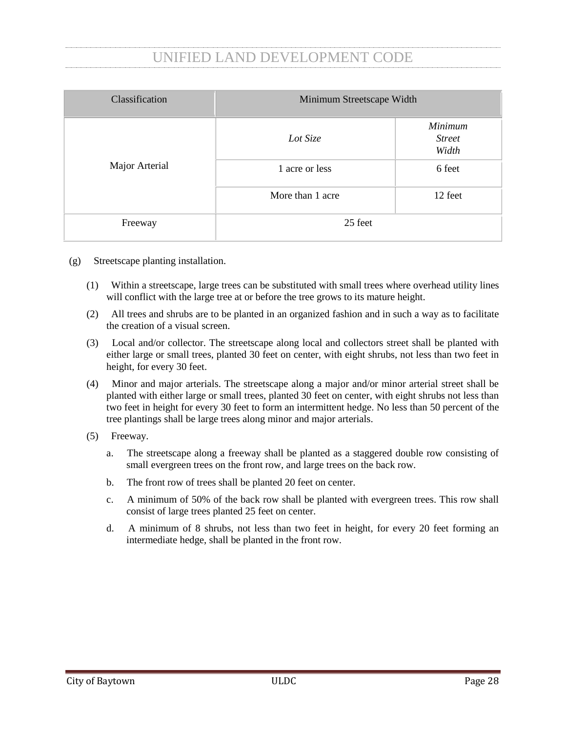| <b>Tree Species</b>                                                                             | Local/<br><b>Collector</b><br><b>Streetscape</b> | <b>Arterial</b><br><b>Streetscape</b> | Freeway<br><b>Streetscape</b> | Vegetative/<br><b>Transition</b><br><b>Buffer</b> |
|-------------------------------------------------------------------------------------------------|--------------------------------------------------|---------------------------------------|-------------------------------|---------------------------------------------------|
| Eastern<br>Redcedar<br>$\blacklozenge\blacklozenge$<br>(1)<br>(Juniperus virginiana)            |                                                  | $\mathbf X$                           | $\mathbf X$                   | $\mathbf X$                                       |
| Crapemyrtle<br>Common<br>$\blacklozenge(s)$<br>(Lagerstroemia indica)                           | $\mathbf X$                                      | $\mathbf X$                           |                               |                                                   |
| Waxmyrtle<br>$\blacklozenge\blacklozenge(\mathbf{s})$<br>(Myrica cerifera)                      | $\mathbf X$                                      | $\mathbf X$                           | $\mathbf X$                   | $\mathbf X$                                       |
| Yaupon<br>$\blacklozenge(\mathbf{s})$<br>(Ilex vomitoria)                                       | $\mathbf X$                                      | $\mathbf X$                           | $\mathbf X$                   | $\mathbf X$                                       |
| Little<br>Gem<br>Magnolia<br>$\blacklozenge\blacklozenge(\mathbf{s})$<br>(Magnolia grandiflora) | $\mathbf X$                                      | $\mathbf X$                           | $\mathbf X$                   |                                                   |
| Sweetbay<br>Magnolia<br>$\blacklozenge\blacklozenge(\mathbf{s})$<br>(Magnolia virginiana)       | $\mathbf X$                                      | $\mathbf X$                           | $\mathbf X$                   | $\mathbf X$                                       |
| Foster<br>Holly<br>$\blacklozenge(\mathbf{s})$<br>(Ilex x attenuata 'Fosteri')                  | $\mathbf X$                                      | $\mathbf X$                           | $\mathbf X$                   |                                                   |
| Flowering<br>Dogwood<br>$\blacklozenge(s)$<br>(Cornus florida)                                  | $\mathbf X$                                      | $\mathbf X$                           |                               |                                                   |
| <b>Nelly</b><br>Stevens<br>Holly<br>$\blacklozenge\blacklozenge(\mathbf{s})$<br>$($ Ilex $x)$   | $\mathbf X$                                      | $\mathbf X$                           | $\mathbf X$                   |                                                   |

(s) - small tree (l) - large tree ♦ - deciduous tree ♦♦ - evergreen tree

(h) Variances.

- (1) The director has the authority to approve variations to the streetscape tree species and the layout of the streetscape plantings as set forth in this section, so long as the number of required plantings and the size of the required plantings meet the intent of this article.
- (2) Any person, wishing to appeal the director's denial of a variance pursuant to subsection (h)(2), may file a completed application for a variance pursuant to section 18-1207 within 30 days after the director's decision. Such variance request shall follow the process and procedures therein established.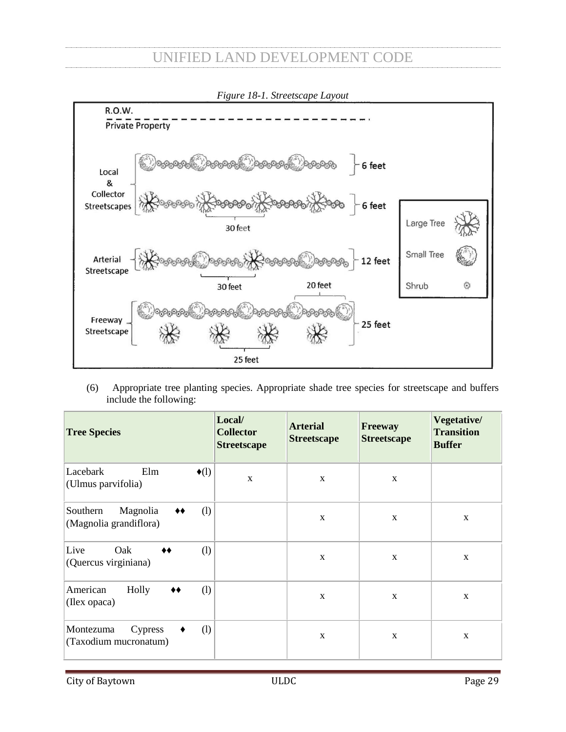- (i) Exceptions. The following shall be exempt from the streetscape requirements set forth in this section:
	- (1) A lot that is permitted to have a lot coverage greater than 91%, or
	- (2) A lot that is:
		- a. 21,780 square feet or less and
		- b. Adjacent to property developed with nonresidential land uses, which adjacent property does not have an existing streetscape.

SEC. 18-1206.5. - VEGETATIVE AND TRANSITION BUFFER ZONES.

- <span id="page-31-0"></span>(a) *Purposes.* The purpose of the vegetative and transition buffer zones required herein is to guard against incompatible uses in adjacent zoning districts by providing a visual screen, a light barrier, a sound barrier and some containment of air movement near the ground level. The provisions of this section shall be construed to accomplish these purposes.
- (b) *Definitions.* The following words, terms and phrases, when used in this section, shall have the meanings ascribed to them in this subsection, except where the context clearly indicates a different meaning:

*HI zoning district* shall mean the HI heavy industrial zoning district established in the Unified Land Development Code.

*LI zoning district* shall mean the LI light industrial zoning district established in the Unified Land Development Code.

*Transition buffer zone* means an area, which extends inward from the property line of a site, provides protection between land uses consisting of ground cover and trees.

*Vegetative buffer zone* has the meaning ascribed to it in the Unified Land Development Code.

- (d) *Exemption.* Where vegetative and transition buffer zones are required, the property shall be exempt from section 18-1206 but must provide interior landscaped open space, as required by section 18- 1205 for parking areas located in the front yard of the development. Side and rear yard parking areas are not required to provide interior landscaped open space.
- (e) *Landscaping requirements.* The landscaping requirements of this subsection are intended to provide a continuous vegetative screening of the district or land use. The following contain the minimum standards; however, additional plantings or other forms of opaque screening may be required to accomplish this purpose.
	- (1) *Vegetative buffer zone.* Vegetative buffer zones shall have a minimum width of 50 feet.
		- a. *LI zoning district.* Vegetative buffer zones in a LI zoning district shall be in accordance with the following and as depicted in Figure 18-2 "Vegetative Buffer Zone Layout":
			- 1. LI zone 1 shall include an area adjacent to the property line, beginning at the property line and extending into the private property for a distance of 25 feet. The owner shall plant and maintain at least the following in LI zone 1: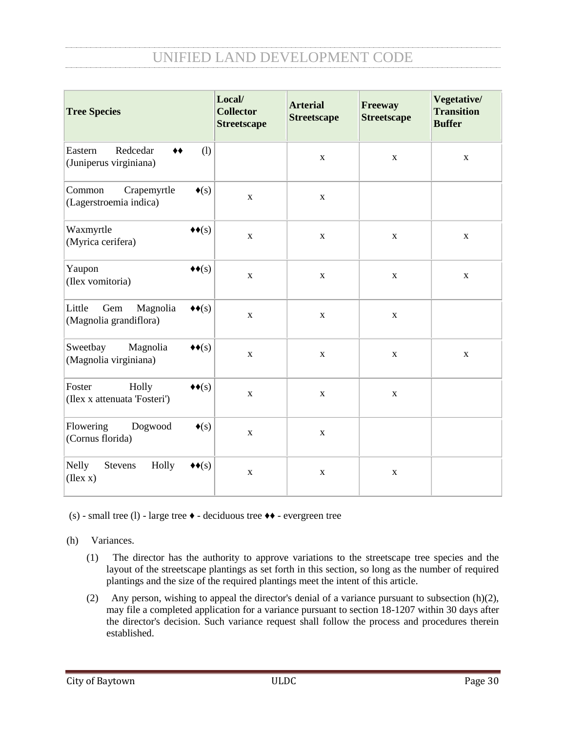- i. A staggered double row consisting of small evergreen trees on the front row, and large trees on the back row.
- ii. The front row of trees shall be planted 20 feet on center.
- iii. A minimum of 50% of the back row shall consist of large evergreen trees.
- iv. The back row shall be planted 25 feet on center.
- v. A minimum of 8 shrubs, not less than two feet in height, for every 20 feet forming an intermediate hedge, shall be planted in the front row along the rightof-way.
- vi. Groundcover extending for 25 feet measured from the outside boundary of the LI zone 1, which groundcover shall be maintained in accordance with article II of chapter 42.
- 2. LI zone 2 shall include an area adjacent to LI zone 1, beginning at the interior boundary of LI zone 1 and extending into the property for a minimum distance of 25 feet. In LI zone 2, the owner shall plant and maintain at least the following:
	- i. A row of large trees planted 15 feet from the inner boundary of LI zone 2.
	- ii. The trees shall be planted 25 feet on center.
	- iii. Such trees shall be offset 12.5 feet from the trees in the back row of LI zone 1.

| <b>VEGETATIVE</b><br><b>BUFFER</b><br><b>ZONE</b> |     | LI ZONING DISTRICT<br>15'                                                                                    |
|---------------------------------------------------|-----|--------------------------------------------------------------------------------------------------------------|
| ZONE <sub>2</sub>                                 | 25' | 25'<br><b>LARGE TREES</b><br>12.5'                                                                           |
| ZONE <sub>1</sub>                                 | 25' | 20'<br>OFFSET<br>25'<br>LARGE TREES/ SMALL<br>TREES/ SHRUBS<br>15'                                           |
|                                                   |     | GRASS THAT'S MAINTAINED<br>PROPERTY LINE<br><b>OUTER BOUNDARY</b><br>VEGETATIVE BUFFER ZONE<br><b>STREET</b> |

*Figure 18-2. Vegetative Buffer Zone Layout* 

- b. *HI zoning district.* Vegetative buffer zones in an HI zoning district shall be in accordance with the following and as depicted in Figure 18-3 "Vegetative Buffer Zone Layout":
	- 1. HI zone 1 shall include an area adjacent to the property line, beginning at the property line and extending into the private property for a distance of 25 feet. The owner shall plant and maintain groundcover extending throughout the entire HI zone 1, which shall be maintained in accordance with article II of chapter 42.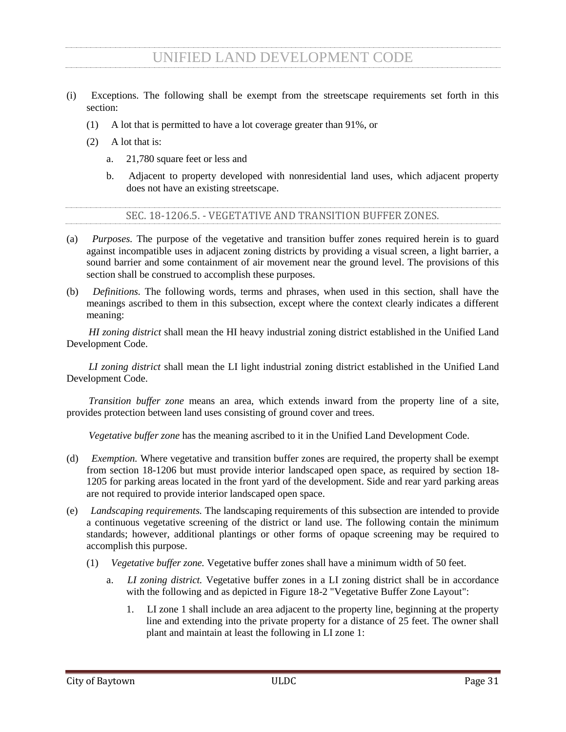- 2. HI zone 2 shall include an area adjacent to HI zone 1, beginning at the interior boundary of HI zone 1 and extending into the property for a minimum distance of 25 feet. The owner shall plant and maintain at least the following in HI zone 2:
	- i. Mixture of small trees and shade trees, which shall be planted every 30 linear feet, 15 feet from the inside boundary of HI zone 1; provided, however, that no more than 50 percent of trees may be small trees; and
	- ii. Eight shrubs for every 30 linear feet evenly spaced.

HI zone 2 shall be maintained so as to allow native trees, shrubs, vines, and other forms of vegetation to grow.

- 3. HI zone 3 shall include an area adjacent to HI zone 2, beginning at the interior boundary of HI zone 2 and extending into the property for a minimum distance of 25 feet. In HI zone 3, the owner shall plant and maintain the following:
	- i. At least one shade tree every 30 linear feet with centers ten feet from the inner boundary of HI zone 2. Such trees shall be offset ten feet from the trees in HI zone 2; and
	- ii. At least one shade tree every 30 linear feet with centers 20 feet from the inner boundary of HI zone 3. Such trees shall be offset ten feet from the trees required in subsection  $(e)(1)(b)(2)(i)$ .

HI zone 3 shall be maintained so as to allow native trees, shrubs, vines, and other forms of vegetation to grow naturally.



*Figure 18-3. Vegetative Buffer Zone Layout*